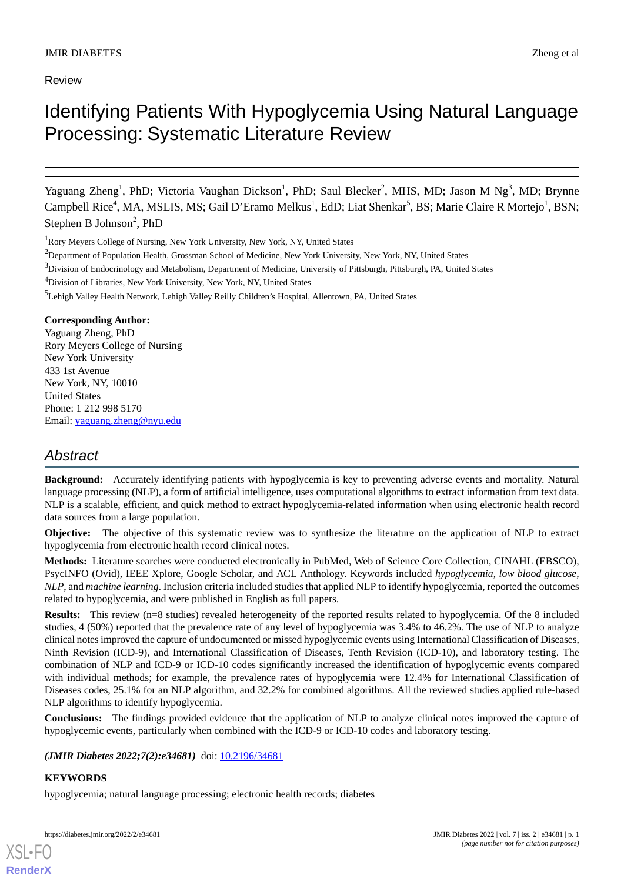## Review

# Identifying Patients With Hypoglycemia Using Natural Language Processing: Systematic Literature Review

Yaguang Zheng<sup>1</sup>, PhD; Victoria Vaughan Dickson<sup>1</sup>, PhD; Saul Blecker<sup>2</sup>, MHS, MD; Jason M Ng<sup>3</sup>, MD; Brynne Campbell Rice<sup>4</sup>, MA, MSLIS, MS; Gail D'Eramo Melkus<sup>1</sup>, EdD; Liat Shenkar<sup>5</sup>, BS; Marie Claire R Mortejo<sup>1</sup>, BSN; Stephen B Johnson<sup>2</sup>, PhD

<sup>1</sup>Rory Meyers College of Nursing, New York University, New York, NY, United States

<sup>4</sup>Division of Libraries, New York University, New York, NY, United States

## **Corresponding Author:**

Yaguang Zheng, PhD Rory Meyers College of Nursing New York University 433 1st Avenue New York, NY, 10010 United States Phone: 1 212 998 5170 Email: [yaguang.zheng@nyu.edu](mailto:yaguang.zheng@nyu.edu)

## *Abstract*

**Background:** Accurately identifying patients with hypoglycemia is key to preventing adverse events and mortality. Natural language processing (NLP), a form of artificial intelligence, uses computational algorithms to extract information from text data. NLP is a scalable, efficient, and quick method to extract hypoglycemia-related information when using electronic health record data sources from a large population.

**Objective:** The objective of this systematic review was to synthesize the literature on the application of NLP to extract hypoglycemia from electronic health record clinical notes.

**Methods:** Literature searches were conducted electronically in PubMed, Web of Science Core Collection, CINAHL (EBSCO), PsycINFO (Ovid), IEEE Xplore, Google Scholar, and ACL Anthology. Keywords included *hypoglycemia*, *low blood glucose*, *NLP*, and *machine learning*. Inclusion criteria included studies that applied NLP to identify hypoglycemia, reported the outcomes related to hypoglycemia, and were published in English as full papers.

**Results:** This review (n=8 studies) revealed heterogeneity of the reported results related to hypoglycemia. Of the 8 included studies, 4 (50%) reported that the prevalence rate of any level of hypoglycemia was 3.4% to 46.2%. The use of NLP to analyze clinical notes improved the capture of undocumented or missed hypoglycemic events using International Classification of Diseases, Ninth Revision (ICD-9), and International Classification of Diseases, Tenth Revision (ICD-10), and laboratory testing. The combination of NLP and ICD-9 or ICD-10 codes significantly increased the identification of hypoglycemic events compared with individual methods; for example, the prevalence rates of hypoglycemia were 12.4% for International Classification of Diseases codes, 25.1% for an NLP algorithm, and 32.2% for combined algorithms. All the reviewed studies applied rule-based NLP algorithms to identify hypoglycemia.

**Conclusions:** The findings provided evidence that the application of NLP to analyze clinical notes improved the capture of hypoglycemic events, particularly when combined with the ICD-9 or ICD-10 codes and laboratory testing.

*(JMIR Diabetes 2022;7(2):e34681)* doi: [10.2196/34681](http://dx.doi.org/10.2196/34681)

## **KEYWORDS**

[XSL](http://www.w3.org/Style/XSL)•FO **[RenderX](http://www.renderx.com/)**

hypoglycemia; natural language processing; electronic health records; diabetes

<sup>&</sup>lt;sup>2</sup>Department of Population Health, Grossman School of Medicine, New York University, New York, NY, United States

<sup>&</sup>lt;sup>3</sup>Division of Endocrinology and Metabolism, Department of Medicine, University of Pittsburgh, Pittsburgh, PA, United States

<sup>5</sup>Lehigh Valley Health Network, Lehigh Valley Reilly Children's Hospital, Allentown, PA, United States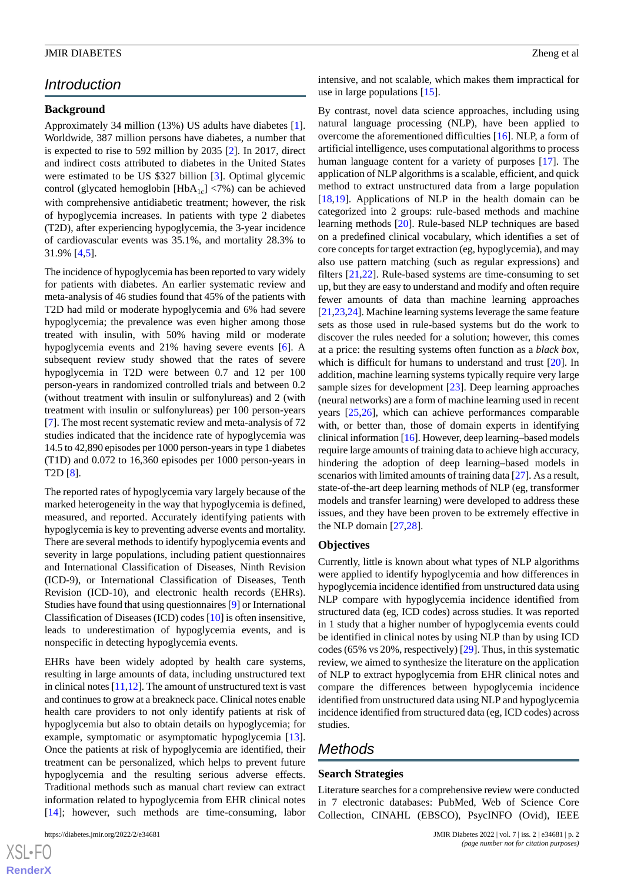## *Introduction*

## **Background**

Approximately 34 million (13%) US adults have diabetes [[1\]](#page-12-0). Worldwide, 387 million persons have diabetes, a number that is expected to rise to 592 million by 2035 [\[2](#page-12-1)]. In 2017, direct and indirect costs attributed to diabetes in the United States were estimated to be US \$327 billion [\[3](#page-12-2)]. Optimal glycemic control (glycated hemoglobin  $[HbA_{1c}]$  <7%) can be achieved with comprehensive antidiabetic treatment; however, the risk of hypoglycemia increases. In patients with type 2 diabetes (T2D), after experiencing hypoglycemia, the 3-year incidence of cardiovascular events was 35.1%, and mortality 28.3% to 31.9% [\[4](#page-12-3),[5\]](#page-12-4).

The incidence of hypoglycemia has been reported to vary widely for patients with diabetes. An earlier systematic review and meta-analysis of 46 studies found that 45% of the patients with T2D had mild or moderate hypoglycemia and 6% had severe hypoglycemia; the prevalence was even higher among those treated with insulin, with 50% having mild or moderate hypoglycemia events and 21% having severe events [\[6](#page-12-5)]. A subsequent review study showed that the rates of severe hypoglycemia in T2D were between 0.7 and 12 per 100 person-years in randomized controlled trials and between 0.2 (without treatment with insulin or sulfonylureas) and 2 (with treatment with insulin or sulfonylureas) per 100 person-years [[7\]](#page-12-6). The most recent systematic review and meta-analysis of 72 studies indicated that the incidence rate of hypoglycemia was 14.5 to 42,890 episodes per 1000 person-years in type 1 diabetes (T1D) and 0.072 to 16,360 episodes per 1000 person-years in T2D [[8\]](#page-12-7).

The reported rates of hypoglycemia vary largely because of the marked heterogeneity in the way that hypoglycemia is defined, measured, and reported. Accurately identifying patients with hypoglycemia is key to preventing adverse events and mortality. There are several methods to identify hypoglycemia events and severity in large populations, including patient questionnaires and International Classification of Diseases, Ninth Revision (ICD-9), or International Classification of Diseases, Tenth Revision (ICD-10), and electronic health records (EHRs). Studies have found that using questionnaires [\[9\]](#page-12-8) or International Classification of Diseases (ICD) codes [\[10](#page-12-9)] is often insensitive, leads to underestimation of hypoglycemia events, and is nonspecific in detecting hypoglycemia events.

EHRs have been widely adopted by health care systems, resulting in large amounts of data, including unstructured text in clinical notes [[11,](#page-12-10)[12\]](#page-12-11). The amount of unstructured text is vast and continues to grow at a breakneck pace. Clinical notes enable health care providers to not only identify patients at risk of hypoglycemia but also to obtain details on hypoglycemia; for example, symptomatic or asymptomatic hypoglycemia [[13\]](#page-12-12). Once the patients at risk of hypoglycemia are identified, their treatment can be personalized, which helps to prevent future hypoglycemia and the resulting serious adverse effects. Traditional methods such as manual chart review can extract information related to hypoglycemia from EHR clinical notes [[14\]](#page-12-13); however, such methods are time-consuming, labor

 $XS$ -FO **[RenderX](http://www.renderx.com/)** intensive, and not scalable, which makes them impractical for use in large populations [[15\]](#page-12-14).

By contrast, novel data science approaches, including using natural language processing (NLP), have been applied to overcome the aforementioned difficulties [\[16](#page-12-15)]. NLP, a form of artificial intelligence, uses computational algorithms to process human language content for a variety of purposes [[17\]](#page-12-16). The application of NLP algorithms is a scalable, efficient, and quick method to extract unstructured data from a large population [[18,](#page-12-17)[19\]](#page-13-0). Applications of NLP in the health domain can be categorized into 2 groups: rule-based methods and machine learning methods [[20\]](#page-13-1). Rule-based NLP techniques are based on a predefined clinical vocabulary, which identifies a set of core concepts for target extraction (eg, hypoglycemia), and may also use pattern matching (such as regular expressions) and filters [\[21](#page-13-2),[22\]](#page-13-3). Rule-based systems are time-consuming to set up, but they are easy to understand and modify and often require fewer amounts of data than machine learning approaches [[21](#page-13-2)[,23](#page-13-4),[24\]](#page-13-5). Machine learning systems leverage the same feature sets as those used in rule-based systems but do the work to discover the rules needed for a solution; however, this comes at a price: the resulting systems often function as a *black box*, which is difficult for humans to understand and trust [\[20](#page-13-1)]. In addition, machine learning systems typically require very large sample sizes for development [\[23](#page-13-4)]. Deep learning approaches (neural networks) are a form of machine learning used in recent years [\[25](#page-13-6)[,26](#page-13-7)], which can achieve performances comparable with, or better than, those of domain experts in identifying clinical information [[16\]](#page-12-15). However, deep learning–based models require large amounts of training data to achieve high accuracy, hindering the adoption of deep learning–based models in scenarios with limited amounts of training data [[27](#page-13-8)]. As a result, state-of-the-art deep learning methods of NLP (eg, transformer models and transfer learning) were developed to address these issues, and they have been proven to be extremely effective in the NLP domain [[27,](#page-13-8)[28](#page-13-9)].

#### **Objectives**

Currently, little is known about what types of NLP algorithms were applied to identify hypoglycemia and how differences in hypoglycemia incidence identified from unstructured data using NLP compare with hypoglycemia incidence identified from structured data (eg, ICD codes) across studies. It was reported in 1 study that a higher number of hypoglycemia events could be identified in clinical notes by using NLP than by using ICD codes (65% vs 20%, respectively) [\[29](#page-13-10)]. Thus, in this systematic review, we aimed to synthesize the literature on the application of NLP to extract hypoglycemia from EHR clinical notes and compare the differences between hypoglycemia incidence identified from unstructured data using NLP and hypoglycemia incidence identified from structured data (eg, ICD codes) across studies.

## *Methods*

#### **Search Strategies**

Literature searches for a comprehensive review were conducted in 7 electronic databases: PubMed, Web of Science Core Collection, CINAHL (EBSCO), PsycINFO (Ovid), IEEE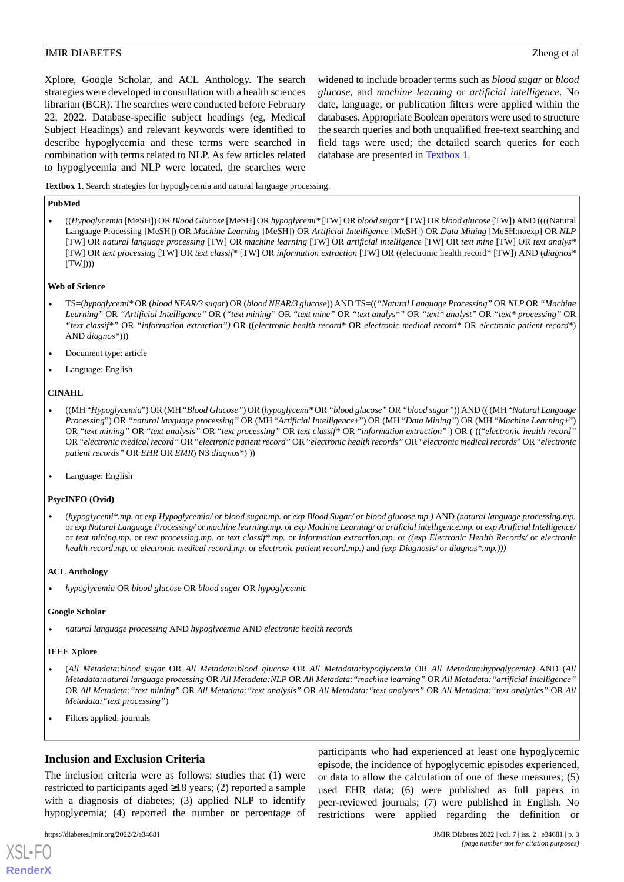Xplore, Google Scholar, and ACL Anthology. The search strategies were developed in consultation with a health sciences librarian (BCR). The searches were conducted before February 22, 2022. Database-specific subject headings (eg, Medical Subject Headings) and relevant keywords were identified to describe hypoglycemia and these terms were searched in combination with terms related to NLP. As few articles related to hypoglycemia and NLP were located, the searches were

widened to include broader terms such as *blood sugar* or *blood glucose*, and *machine learning* or *artificial intelligence*. No date, language, or publication filters were applied within the databases. Appropriate Boolean operators were used to structure the search queries and both unqualified free-text searching and field tags were used; the detailed search queries for each database are presented in [Textbox 1](#page-2-0).

<span id="page-2-0"></span>**Textbox 1.** Search strategies for hypoglycemia and natural language processing.

#### **PubMed**

• ((*Hypoglycemia* [MeSH]) OR *Blood Glucose* [MeSH] OR *hypoglycemi\** [TW] OR *blood sugar\** [TW] OR *blood glucose* [TW]) AND ((((Natural Language Processing [MeSH]) OR *Machine Learning* [MeSH]) OR *Artificial Intelligence* [MeSH]) OR *Data Mining* [MeSH:noexp] OR *NLP* [TW] OR *natural language processing* [TW] OR *machine learning* [TW] OR *artificial intelligence* [TW] OR *text mine* [TW] OR *text analys\** [TW] OR *text processing* [TW] OR *text classif\** [TW] OR *information extraction* [TW] OR ((electronic health record\* [TW]) AND (*diagnos\**  $(TW))$ 

#### **Web of Science**

- TS=(*hypoglycemi\** OR (*blood NEAR/3 sugar*) OR (*blood NEAR/3 glucose*)) AND TS=((*"Natural Language Processing"* OR *NLP* OR *"Machine Learning"* OR *"Artificial Intelligence"* OR (*"text mining"* OR *"text mine"* OR *"text analys\*"* OR *"text\* analyst"* OR *"text\* processing"* OR *"text classif\*"* OR *"information extraction")* OR ((*electronic health record\** OR *electronic medical record\** OR *electronic patient record\**) AND *diagnos\**)))
- Document type: article
- Language: English

#### **CINAHL**

- ((MH "*Hypoglycemia*") OR (MH "*Blood Glucose"*) OR (*hypoglycemi\** OR *"blood glucose"* OR *"blood sugar"*)) AND (( (MH "*Natural Language Processing*") OR *"natural language processing"* OR (MH "*Artificial Intelligence*+") OR (MH "*Data Mining"*) OR (MH "*Machine Learning*+") OR "*text mining"* OR "*text analysis"* OR "*text processing"* OR *text classif\** OR "*information extraction"* ) OR ( (("*electronic health record"* OR "*electronic medical record"* OR "*electronic patient record"* OR "*electronic health records"* OR "*electronic medical records*" OR "*electronic patient records"* OR *EHR* OR *EMR*) N3 *diagnos*\*) ))
- Language: English

#### **PsycINFO (Ovid)**

• (*hypoglycemi\*.mp.* or *exp Hypoglycemia/ or blood sugar.mp.* or *exp Blood Sugar/ or blood glucose.mp.)* AND *(natural language processing.mp.* or *exp Natural Language Processing/* or *machine learning.mp.* or *exp Machine Learning/* or *artificial intelligence.mp.* or *exp Artificial Intelligence/* or *text mining.mp.* or *text processing.mp.* or *text classif\*.mp.* or *information extraction.mp.* or *((exp Electronic Health Records/* or *electronic health record.mp.* or *electronic medical record.mp.* or *electronic patient record.mp.)* and *(exp Diagnosis/* or *diagnos\*.mp.)))*

#### **ACL Anthology**

• *hypoglycemia* OR *blood glucose* OR *blood sugar* OR *hypoglycemic*

#### **Google Scholar**

• *natural language processing* AND *hypoglycemia* AND *electronic health records*

#### **IEEE Xplore**

- (*All Metadata:blood sugar* OR *All Metadata:blood glucose* OR *All Metadata:hypoglycemia* OR *All Metadata:hypoglycemic)* AND (*All Metadata:natural language processing* OR *All Metadata:NLP* OR *All Metadata:"machine learning"* OR *All Metadata:"artificial intelligence"* OR *All Metadata:"text mining"* OR *All Metadata:"text analysis"* OR *All Metadata:"text analyses"* OR *All Metadata:"text analytics"* OR *All Metadata:"text processing"*)
- Filters applied: journals

## **Inclusion and Exclusion Criteria**

The inclusion criteria were as follows: studies that (1) were restricted to participants aged ≥18 years; (2) reported a sample with a diagnosis of diabetes; (3) applied NLP to identify hypoglycemia; (4) reported the number or percentage of

[XSL](http://www.w3.org/Style/XSL)•FO **[RenderX](http://www.renderx.com/)**

episode, the incidence of hypoglycemic episodes experienced, or data to allow the calculation of one of these measures; (5) used EHR data; (6) were published as full papers in peer-reviewed journals; (7) were published in English. No restrictions were applied regarding the definition or

participants who had experienced at least one hypoglycemic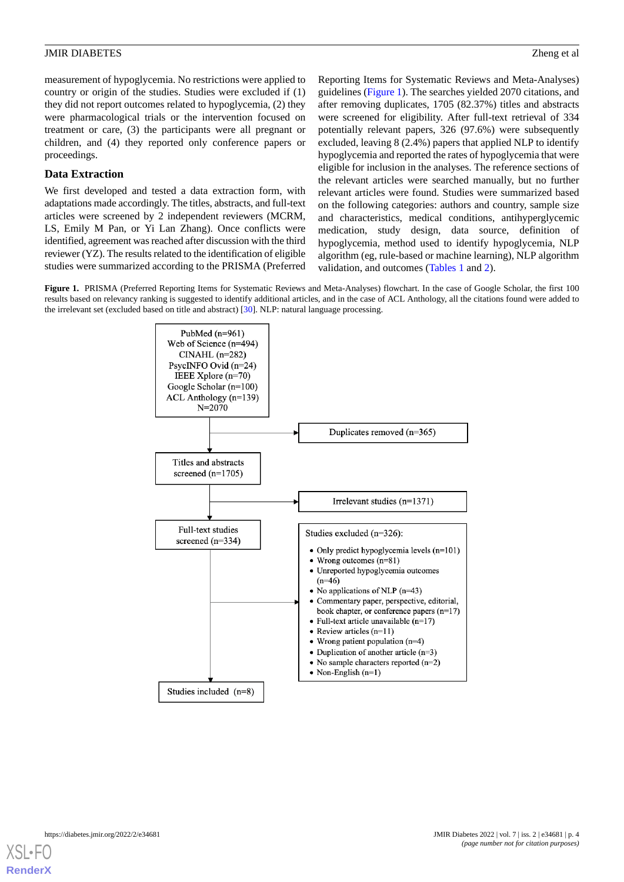measurement of hypoglycemia. No restrictions were applied to country or origin of the studies. Studies were excluded if (1) they did not report outcomes related to hypoglycemia, (2) they were pharmacological trials or the intervention focused on treatment or care, (3) the participants were all pregnant or children, and (4) they reported only conference papers or proceedings.

## **Data Extraction**

We first developed and tested a data extraction form, with adaptations made accordingly. The titles, abstracts, and full-text articles were screened by 2 independent reviewers (MCRM, LS, Emily M Pan, or Yi Lan Zhang). Once conflicts were identified, agreement was reached after discussion with the third reviewer (YZ). The results related to the identification of eligible studies were summarized according to the PRISMA (Preferred

Reporting Items for Systematic Reviews and Meta-Analyses) guidelines [\(Figure 1\)](#page-3-0). The searches yielded 2070 citations, and after removing duplicates, 1705 (82.37%) titles and abstracts were screened for eligibility. After full-text retrieval of 334 potentially relevant papers, 326 (97.6%) were subsequently excluded, leaving 8 (2.4%) papers that applied NLP to identify hypoglycemia and reported the rates of hypoglycemia that were eligible for inclusion in the analyses. The reference sections of the relevant articles were searched manually, but no further relevant articles were found. Studies were summarized based on the following categories: authors and country, sample size and characteristics, medical conditions, antihyperglycemic medication, study design, data source, definition of hypoglycemia, method used to identify hypoglycemia, NLP algorithm (eg, rule-based or machine learning), NLP algorithm validation, and outcomes ([Tables 1](#page-4-0) and [2](#page-6-0)).

<span id="page-3-0"></span>**Figure 1.** PRISMA (Preferred Reporting Items for Systematic Reviews and Meta-Analyses) flowchart. In the case of Google Scholar, the first 100 results based on relevancy ranking is suggested to identify additional articles, and in the case of ACL Anthology, all the citations found were added to the irrelevant set (excluded based on title and abstract) [\[30\]](#page-13-11). NLP: natural language processing.



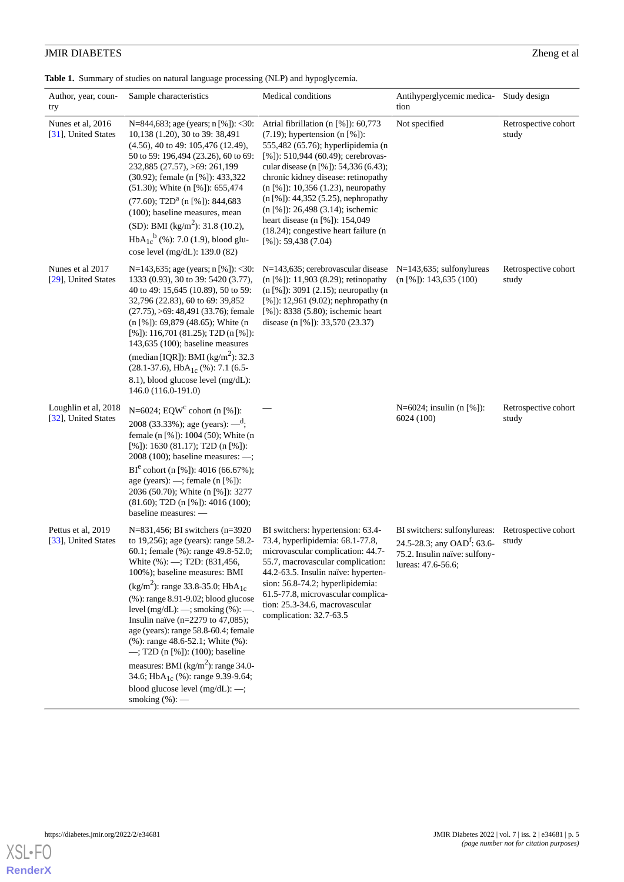<span id="page-4-0"></span>**Table 1.** Summary of studies on natural language processing (NLP) and hypoglycemia.

| Author, year, coun-<br>try                  | Sample characteristics                                                                                                                                                                                                                                                                                                                                                                                                                                                                                                                                                                                                                                                          | Medical conditions                                                                                                                                                                                                                                                                                                                                                                                                                                                       | Antihyperglycemic medica- Study design<br>tion                                                                                 |                               |
|---------------------------------------------|---------------------------------------------------------------------------------------------------------------------------------------------------------------------------------------------------------------------------------------------------------------------------------------------------------------------------------------------------------------------------------------------------------------------------------------------------------------------------------------------------------------------------------------------------------------------------------------------------------------------------------------------------------------------------------|--------------------------------------------------------------------------------------------------------------------------------------------------------------------------------------------------------------------------------------------------------------------------------------------------------------------------------------------------------------------------------------------------------------------------------------------------------------------------|--------------------------------------------------------------------------------------------------------------------------------|-------------------------------|
| Nunes et al, 2016<br>[31], United States    | N=844,683; age (years; $n$ [%]): <30:<br>10,138 (1.20), 30 to 39: 38,491<br>$(4.56)$ , 40 to 49: 105,476 (12.49),<br>50 to 59: 196,494 (23.26), 60 to 69:<br>232,885 (27.57), >69: 261,199<br>$(30.92)$ ; female (n [%]): 433,322<br>$(51.30)$ ; White $(n \, [%])$ : 655,474<br>$(77.60)$ ; T2D <sup>a</sup> (n [%]): 844,683<br>(100); baseline measures, mean<br>(SD): BMI (kg/m <sup>2</sup> ): 31.8 (10.2),<br>$HbA_{1c}^{b}$ (%): 7.0 (1.9), blood glu-<br>cose level (mg/dL): 139.0 (82)                                                                                                                                                                                 | Atrial fibrillation (n [%]): 60,773<br>$(7.19)$ ; hypertension $(n \, [\%])$ :<br>555,482 (65.76); hyperlipidemia (n<br>[%]): 510,944 (60.49); cerebrovas-<br>cular disease (n [%]): 54,336 (6.43);<br>chronic kidney disease: retinopathy<br>$(n [%])$ : 10,356 (1.23), neuropathy<br>$(n [%])$ : 44,352 (5.25), nephropathy<br>(n [%]): 26,498 (3.14); ischemic<br>heart disease (n [%]): 154,049<br>$(18.24)$ ; congestive heart failure (n<br>$[%])$ : 59,438 (7.04) | Not specified                                                                                                                  | Retrospective cohort<br>study |
| Nunes et al 2017<br>[29], United States     | N=143,635; age (years; $n$ [%]): <30:<br>1333 (0.93), 30 to 39: 5420 (3.77),<br>40 to 49: 15,645 (10.89), 50 to 59:<br>32,796 (22.83), 60 to 69: 39,852<br>$(27.75)$ , $>69$ : 48,491 (33.76); female<br>$(n [%])$ : 69,879 (48.65); White $(n$<br>[%]): 116,701 (81.25); T2D (n [%]):<br>$143,635$ (100); baseline measures<br>(median [IQR]): BMI ( $\text{kg/m}^2$ ): 32.3<br>$(28.1-37.6)$ , HbA <sub>1c</sub> (%): 7.1 (6.5-<br>8.1), blood glucose level (mg/dL):<br>146.0 (116.0-191.0)                                                                                                                                                                                  | $N=143,635$ ; cerebrovascular disease<br>(n [%]): 11,903 (8.29); retinopathy<br>$(n [%])$ : 3091 (2.15); neuropathy (n<br>$[%]$ : 12,961 (9.02); nephropathy (n<br>[%]): 8338 (5.80); ischemic heart<br>disease (n [%]): 33,570 (23.37)                                                                                                                                                                                                                                  | $N=143,635$ ; sulfonylureas<br>$(n [%])$ : 143,635 (100)                                                                       | Retrospective cohort<br>study |
| Loughlin et al, 2018<br>[32], United States | N=6024; EQW <sup>c</sup> cohort (n [%]):<br>2008 (33.33%); age (years): $-\frac{d}{3}$ ;<br>female (n [%]): 1004 (50); White (n<br>[%]): $1630 (81.17)$ ; T2D (n [%]):<br>$2008(100)$ ; baseline measures: $-$ ;<br>BI <sup>e</sup> cohort (n [%]): 4016 (66.67%);<br>age (years): $\longrightarrow$ ; female (n [%]):<br>2036 (50.70); White (n [%]): 3277<br>$(81.60)$ ; T2D (n [%]): 4016 (100);<br>baseline measures: -                                                                                                                                                                                                                                                     |                                                                                                                                                                                                                                                                                                                                                                                                                                                                          | N=6024; insulin (n [%]):<br>6024 (100)                                                                                         | Retrospective cohort<br>study |
| Pettus et al, 2019<br>[33], United States   | $N=831,456$ ; BI switchers (n=3920)<br>to 19,256); age (years): range 58.2-<br>60.1; female (%): range 49.8-52.0;<br>White (%): -; T2D: (831,456,<br>100%); baseline measures: BMI<br>(kg/m <sup>2</sup> ): range 33.8-35.0; HbA <sub>1c</sub><br>(%): range 8.91-9.02; blood glucose<br>level $(mg/dL)$ : $\longrightarrow$ ; smoking $(\%)$ : $\longrightarrow$ .<br>Insulin naïve ( $n=2279$ to 47,085);<br>age (years): range 58.8-60.4; female<br>(%): range 48.6-52.1; White (%):<br>$-$ ; T2D (n [%]): (100); baseline<br>measures: BMI $(kg/m2)$ : range 34.0-<br>34.6; HbA <sub>1c</sub> (%): range 9.39-9.64;<br>blood glucose level (mg/dL): -;<br>smoking $(*)$ : — | BI switchers: hypertension: 63.4-<br>73.4, hyperlipidemia: 68.1-77.8,<br>microvascular complication: 44.7-<br>55.7, macrovascular complication:<br>44.2-63.5. Insulin naïve: hyperten-<br>sion: 56.8-74.2; hyperlipidemia:<br>61.5-77.8, microvascular complica-<br>tion: 25.3-34.6, macrovascular<br>complication: 32.7-63.5                                                                                                                                            | BI switchers: sulfonylureas:<br>24.5-28.3; any OAD <sup>f</sup> : 63.6-<br>75.2. Insulin naïve: sulfony-<br>lureas: 47.6-56.6; | Retrospective cohort<br>study |

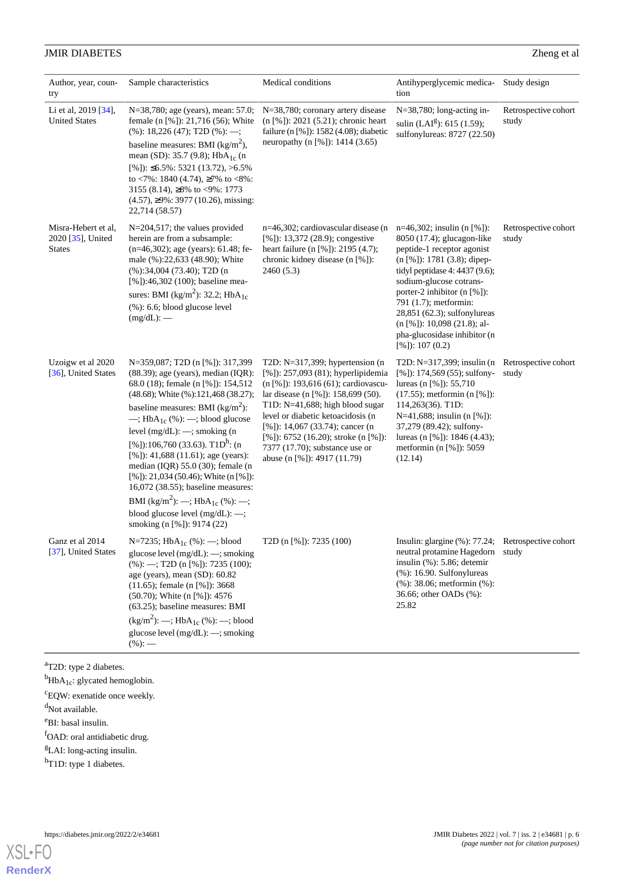| Author, year, coun-<br>try                                | Sample characteristics                                                                                                                                                                                                                                                                                                                                                                                                                                                                                                                                                                                                                                               | Medical conditions                                                                                                                                                                                                                                                                                                                                                                | Antihyperglycemic medica-<br>tion                                                                                                                                                                                                                                                                                                                                        | Study design                  |
|-----------------------------------------------------------|----------------------------------------------------------------------------------------------------------------------------------------------------------------------------------------------------------------------------------------------------------------------------------------------------------------------------------------------------------------------------------------------------------------------------------------------------------------------------------------------------------------------------------------------------------------------------------------------------------------------------------------------------------------------|-----------------------------------------------------------------------------------------------------------------------------------------------------------------------------------------------------------------------------------------------------------------------------------------------------------------------------------------------------------------------------------|--------------------------------------------------------------------------------------------------------------------------------------------------------------------------------------------------------------------------------------------------------------------------------------------------------------------------------------------------------------------------|-------------------------------|
| Li et al, 2019 [34],<br><b>United States</b>              | N=38,780; age (years), mean: 57.0;<br>female (n [%]): 21,716 (56); White<br>$(% )$ (%): 18,226 (47); T2D (%): --;<br>baseline measures: BMI ( $\text{kg/m}^2$ ),<br>mean (SD): 35.7 (9.8); $HbA_{1c}$ (n<br>$[\%$ ]): $\leq 6.5\%$ : 5321 (13.72), >6.5%<br>to <7%: 1840 (4.74), $\geq$ 7% to <8%:<br>3155 (8.14), $\geq 8\%$ to $\lt 9\%$ : 1773<br>$(4.57)$ , $\geq$ 9%: 3977 (10.26), missing:<br>22,714 (58.57)                                                                                                                                                                                                                                                  | N=38,780; coronary artery disease<br>(n [%]): 2021 (5.21); chronic heart<br>failure (n [%]): 1582 (4.08); diabetic<br>neuropathy (n [%]): 1414 (3.65)                                                                                                                                                                                                                             | N=38,780; long-acting in-<br>sulin (LAI <sup>g</sup> ): 615 (1.59);<br>sulfonylureas: 8727 (22.50)                                                                                                                                                                                                                                                                       | Retrospective cohort<br>study |
| Misra-Hebert et al,<br>2020 [35], United<br><b>States</b> | N=204,517; the values provided<br>herein are from a subsample:<br>$(n=46,302)$ ; age (years): 61.48; fe-<br>male (%):22,633 (48.90); White<br>(% 0, 0.34, 0.04, 0.73, 40); T2D (n<br>[%]):46,302 (100); baseline mea-<br>sures: BMI (kg/m <sup>2</sup> ): 32.2; HbA <sub>1c</sub><br>$(% )$ (%): 6.6; blood glucose level<br>$(mg/dL):$ —                                                                                                                                                                                                                                                                                                                            | n=46,302; cardiovascular disease (n<br>[%]): $13,372$ (28.9); congestive<br>heart failure (n [%]): 2195 (4.7);<br>chronic kidney disease (n [%]):<br>2460(5.3)                                                                                                                                                                                                                    | $n=46,302$ ; insulin (n [%]):<br>8050 (17.4); glucagon-like<br>peptide-1 receptor agonist<br>$(n [%])$ : 1781 (3.8); dipep-<br>tidyl peptidase 4: 4437 (9.6);<br>sodium-glucose cotrans-<br>porter-2 inhibitor (n [%]):<br>791 (1.7); metformin:<br>28,851 (62.3); sulfonylureas<br>$(n [%])$ : 10,098 (21.8); al-<br>pha-glucosidase inhibitor (n<br>$[%])$ : 107 (0.2) | Retrospective cohort<br>study |
| Uzoigw et al 2020<br>[36], United States                  | N=359,087; T2D (n [%]): 317,399<br>$(88.39)$ ; age (years), median (IQR):<br>68.0 (18); female (n [%]): 154,512<br>(48.68); White (%):121,468 (38.27);<br>baseline measures: BMI ( $\text{kg/m}^2$ ):<br>$\longrightarrow$ ; HbA <sub>1c</sub> (%): $\longrightarrow$ ; blood glucose<br>level $(mg/dL):$ -; smoking $(n$<br>[%]):106,760 (33.63). T1D <sup>h</sup> : (n<br>[%]): $41,688$ (11.61); age (years):<br>median $(IQR)$ 55.0 (30); female (n<br>[%]): 21,034 (50.46); White (n [%]):<br>16,072 (38.55); baseline measures:<br>BMI (kg/m <sup>2</sup> ): --; HbA <sub>1c</sub> (%): --;<br>blood glucose level $(mg/dL):$ -;<br>smoking (n [%]): 9174 (22) | T2D: $N=317,399$ ; hypertension (n<br>$[%]$ : 257,093 (81); hyperlipidemia<br>$(n \, [\%])$ : 193,616 (61); cardiovascu-<br>lar disease (n [%]): 158,699 (50).<br>T1D: N=41,688; high blood sugar<br>level or diabetic ketoacidosis (n<br>[%]): 14,067 (33.74); cancer (n<br>[%]): 6752 (16.20); stroke (n [%]):<br>7377 (17.70); substance use or<br>abuse (n [%]): 4917 (11.79) | T2D: N=317,399; insulin (n Retrospective cohort<br>$[\%$ ]): 174,569 (55); sulfony-<br>lureas (n [%]): $55,710$<br>$(17.55)$ ; metformin $(n [%]).$<br>114,263(36). T1D:<br>N=41,688; insulin (n [%]):<br>37,279 (89.42); sulfony-<br>lureas (n [%]): $1846(4.43)$ ;<br>metformin (n $[%$ ]): 5059<br>(12.14)                                                            | study                         |
| Ganz et al 2014<br>[37], United States                    | N=7235; $HbA_{1c}$ (%): -; blood<br>glucose level (mg/dL): -; smoking<br>$(\%):$ -; T2D (n [%]): 7235 (100);<br>age (years), mean (SD): 60.82<br>$(11.65)$ ; female (n [%]): 3668<br>(50.70); White (n [%]): 4576<br>(63.25); baseline measures: BMI<br>$(kg/m2)$ : --; HbA <sub>1c</sub> (%): --; blood<br>glucose level (mg/dL): -; smoking<br>$(\%):$ —                                                                                                                                                                                                                                                                                                           | T2D (n [%]): 7235 (100)                                                                                                                                                                                                                                                                                                                                                           | Insulin: glargine (%): 77.24; Retrospective cohort<br>neutral protamine Hagedorn study<br>insulin $(%$ (%): 5.86; detemir<br>$(% )$ (%): 16.90. Sulfonylureas<br>(%): 38.06; metformin (%):<br>36.66; other OADs (%):<br>25.82                                                                                                                                           |                               |

<sup>a</sup>T2D: type 2 diabetes.

 $<sup>b</sup>$ HbA<sub>1c</sub>: glycated hemoglobin.</sup>

<sup>c</sup>EQW: exenatide once weekly.

<sup>d</sup>Not available.

<sup>e</sup>BI: basal insulin.

fOAD: oral antidiabetic drug.

<sup>g</sup>LAI: long-acting insulin.

h<sub>T1D</sub>: type 1 diabetes.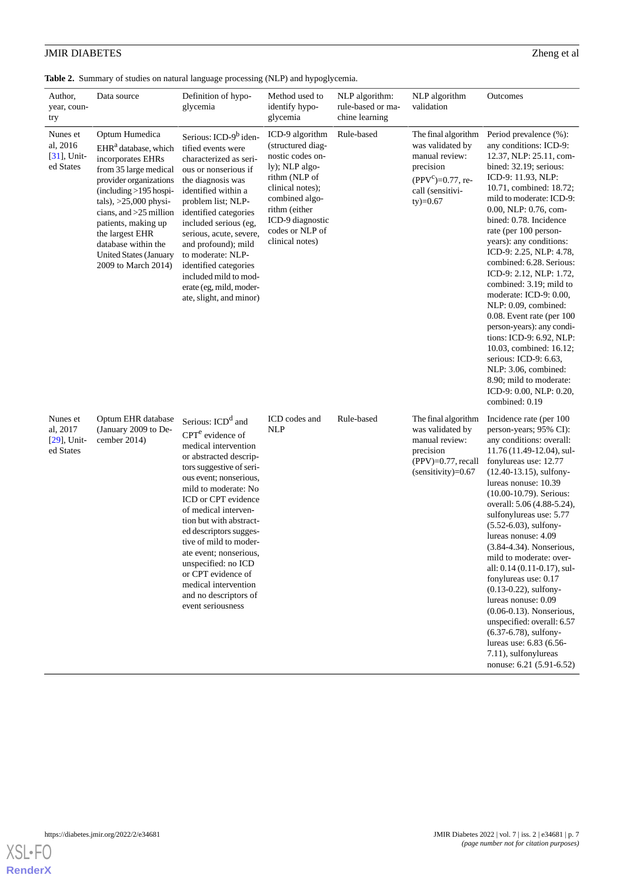<span id="page-6-0"></span>**Table 2.** Summary of studies on natural language processing (NLP) and hypoglycemia.

| Author,<br>year, coun-<br>try                       | Data source                                                                                                                                                                                                                                                                                                                             | Definition of hypo-<br>glycemia                                                                                                                                                                                                                                                                                                                                                                                                                                | Method used to<br>identify hypo-<br>glycemia                                                                                                                                                                 | NLP algorithm:<br>rule-based or ma-<br>chine learning | NLP algorithm<br>validation                                                                                                        | Outcomes                                                                                                                                                                                                                                                                                                                                                                                                                                                                                                                                                                                                                                                                                           |
|-----------------------------------------------------|-----------------------------------------------------------------------------------------------------------------------------------------------------------------------------------------------------------------------------------------------------------------------------------------------------------------------------------------|----------------------------------------------------------------------------------------------------------------------------------------------------------------------------------------------------------------------------------------------------------------------------------------------------------------------------------------------------------------------------------------------------------------------------------------------------------------|--------------------------------------------------------------------------------------------------------------------------------------------------------------------------------------------------------------|-------------------------------------------------------|------------------------------------------------------------------------------------------------------------------------------------|----------------------------------------------------------------------------------------------------------------------------------------------------------------------------------------------------------------------------------------------------------------------------------------------------------------------------------------------------------------------------------------------------------------------------------------------------------------------------------------------------------------------------------------------------------------------------------------------------------------------------------------------------------------------------------------------------|
| Nunes et<br>al, 2016<br>$[31]$ , Unit-<br>ed States | Optum Humedica<br>EHR <sup>a</sup> database, which<br>incorporates EHRs<br>from 35 large medical<br>provider organizations<br>(including >195 hospi-<br>$tals$ ), $>25,000$ physi-<br>cians, and $>25$ million<br>patients, making up<br>the largest EHR<br>database within the<br><b>United States (January</b><br>2009 to March 2014) | Serious: ICD-9 <sup>b</sup> iden-<br>tified events were<br>characterized as seri-<br>ous or nonserious if<br>the diagnosis was<br>identified within a<br>problem list; NLP-<br>identified categories<br>included serious (eg,<br>serious, acute, severe,<br>and profound); mild<br>to moderate: NLP-<br>identified categories<br>included mild to mod-<br>erate (eg, mild, moder-<br>ate, slight, and minor)                                                   | ICD-9 algorithm<br>(structured diag-<br>nostic codes on-<br>ly); NLP algo-<br>rithm (NLP of<br>clinical notes);<br>combined algo-<br>rithm (either<br>ICD-9 diagnostic<br>codes or NLP of<br>clinical notes) | Rule-based                                            | The final algorithm<br>was validated by<br>manual review:<br>precision<br>$(PPV^c)=0.77$ , re-<br>call (sensitivi-<br>$ty) = 0.67$ | Period prevalence (%):<br>any conditions: ICD-9:<br>12.37, NLP: 25.11, com-<br>bined: 32.19; serious:<br>ICD-9: 11.93, NLP:<br>10.71, combined: 18.72;<br>mild to moderate: ICD-9:<br>0.00, NLP: 0.76, com-<br>bined: 0.78. Incidence<br>rate (per 100 person-<br>years): any conditions:<br>ICD-9: 2.25, NLP: 4.78,<br>combined: 6.28. Serious:<br>ICD-9: 2.12, NLP: 1.72,<br>combined: 3.19; mild to<br>moderate: ICD-9: 0.00,<br>NLP: 0.09, combined:<br>0.08. Event rate (per 100<br>person-years): any condi-<br>tions: ICD-9: 6.92, NLP:<br>10.03, combined: 16.12;<br>serious: ICD-9: 6.63,<br>NLP: 3.06, combined:<br>8.90; mild to moderate:<br>ICD-9: 0.00, NLP: 0.20,<br>combined: 0.19 |
| Nunes et<br>al, 2017<br>$[29]$ , Unit-<br>ed States | Optum EHR database<br>(January 2009 to De-<br>cember 2014)                                                                                                                                                                                                                                                                              | Serious: ICD <sup>d</sup> and<br>$CPTe$ evidence of<br>medical intervention<br>or abstracted descrip-<br>tors suggestive of seri-<br>ous event; nonserious,<br>mild to moderate: No<br>ICD or CPT evidence<br>of medical interven-<br>tion but with abstract-<br>ed descriptors sugges-<br>tive of mild to moder-<br>ate event; nonserious.<br>unspecified: no ICD<br>or CPT evidence of<br>medical intervention<br>and no descriptors of<br>event seriousness | ICD codes and<br><b>NLP</b>                                                                                                                                                                                  | Rule-based                                            | The final algorithm<br>was validated by<br>manual review:<br>precision<br>$(PPV)=0.77$ , recall<br>$(sensitivity)=0.67$            | Incidence rate (per 100<br>person-years; 95% CI):<br>any conditions: overall:<br>11.76 (11.49-12.04), sul-<br>fonylureas use: 12.77<br>$(12.40-13.15)$ , sulfony-<br>lureas nonuse: 10.39<br>(10.00-10.79). Serious:<br>overall: 5.06 (4.88-5.24),<br>sulfonylureas use: 5.77<br>$(5.52 - 6.03)$ , sulfony-<br>lureas nonuse: 4.09<br>(3.84-4.34). Nonserious,<br>mild to moderate: over-<br>all: 0.14 (0.11-0.17), sul-<br>fonylureas use: 0.17<br>$(0.13 - 0.22)$ , sulfony-<br>lureas nonuse: 0.09<br>$(0.06-0.13)$ . Nonserious,<br>unspecified: overall: 6.57<br>$(6.37-6.78)$ , sulfony-<br>lureas use: 6.83 (6.56-<br>7.11), sulfonylureas<br>nonuse: 6.21 (5.91-6.52)                      |

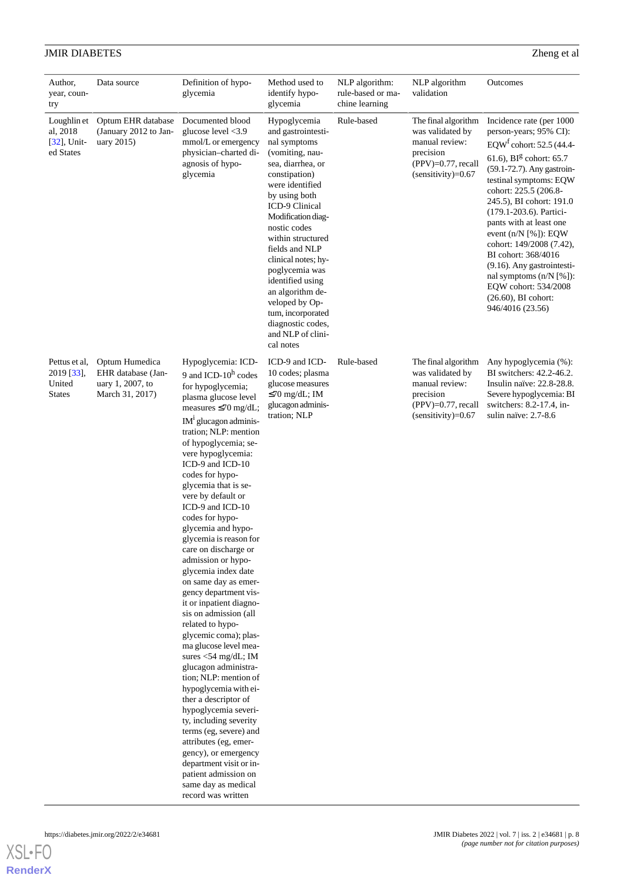| Author,<br>year, coun-<br>try                          | Data source                                                                 | Definition of hypo-<br>glycemia                                                                                                                                                                                                                                                                                                                                                                                                                                                                                                                                                                                                                                                                                                                                                                                                                                                                                                                                                                                | Method used to<br>identify hypo-<br>glycemia                                                                                                                                                                                                                                                                                                                                                                                  | NLP algorithm:<br>rule-based or ma-<br>chine learning | NLP algorithm<br>validation                                                                                             | Outcomes                                                                                                                                                                                                                                                                                                                                                                                                                                                                                                                             |
|--------------------------------------------------------|-----------------------------------------------------------------------------|----------------------------------------------------------------------------------------------------------------------------------------------------------------------------------------------------------------------------------------------------------------------------------------------------------------------------------------------------------------------------------------------------------------------------------------------------------------------------------------------------------------------------------------------------------------------------------------------------------------------------------------------------------------------------------------------------------------------------------------------------------------------------------------------------------------------------------------------------------------------------------------------------------------------------------------------------------------------------------------------------------------|-------------------------------------------------------------------------------------------------------------------------------------------------------------------------------------------------------------------------------------------------------------------------------------------------------------------------------------------------------------------------------------------------------------------------------|-------------------------------------------------------|-------------------------------------------------------------------------------------------------------------------------|--------------------------------------------------------------------------------------------------------------------------------------------------------------------------------------------------------------------------------------------------------------------------------------------------------------------------------------------------------------------------------------------------------------------------------------------------------------------------------------------------------------------------------------|
| Loughlin et<br>al, 2018<br>$[32]$ , Unit-<br>ed States | Optum EHR database<br>(January 2012 to Jan-<br>uary 2015)                   | Documented blood<br>glucose level <3.9<br>mmol/L or emergency<br>physician-charted di-<br>agnosis of hypo-<br>glycemia                                                                                                                                                                                                                                                                                                                                                                                                                                                                                                                                                                                                                                                                                                                                                                                                                                                                                         | Hypoglycemia<br>and gastrointesti-<br>nal symptoms<br>(vomiting, nau-<br>sea, diarrhea, or<br>constipation)<br>were identified<br>by using both<br>ICD-9 Clinical<br>Modification diag-<br>nostic codes<br>within structured<br>fields and NLP<br>clinical notes; hy-<br>poglycemia was<br>identified using<br>an algorithm de-<br>veloped by Op-<br>tum, incorporated<br>diagnostic codes,<br>and NLP of clini-<br>cal notes | Rule-based                                            | The final algorithm<br>was validated by<br>manual review:<br>precision<br>$(PPV)=0.77$ , recall<br>$(sensitivity)=0.67$ | Incidence rate (per 1000<br>person-years; 95% CI):<br>EQW <sup>f</sup> cohort: 52.5 (44.4-<br>61.6), $BIg$ cohort: 65.7<br>(59.1-72.7). Any gastroin-<br>testinal symptoms: EQW<br>cohort: 225.5 (206.8-<br>245.5), BI cohort: 191.0<br>(179.1-203.6). Partici-<br>pants with at least one<br>event $(n/N \, [\%])$ : EQW<br>cohort: 149/2008 (7.42),<br>BI cohort: 368/4016<br>(9.16). Any gastrointesti-<br>nal symptoms $(n/N \lceil \frac{6}{6} \rceil)$ :<br>EQW cohort: 534/2008<br>$(26.60)$ , BI cohort:<br>946/4016 (23.56) |
| Pettus et al,<br>2019 [33],<br>United<br><b>States</b> | Optum Humedica<br>EHR database (Jan-<br>uary 1, 2007, to<br>March 31, 2017) | Hypoglycemia: ICD-<br>9 and ICD- $10^h$ codes<br>for hypoglycemia;<br>plasma glucose level<br>measures $\leq 70$ mg/dL;<br>$IM1$ glucagon adminis-<br>tration; NLP: mention<br>of hypoglycemia; se-<br>vere hypoglycemia:<br>ICD-9 and ICD-10<br>codes for hypo-<br>glycemia that is se-<br>vere by default or<br>ICD-9 and ICD-10<br>codes for hypo-<br>glycemia and hypo-<br>glycemia is reason for<br>care on discharge or<br>admission or hypo-<br>glycemia index date<br>on same day as emer-<br>gency department vis-<br>it or inpatient diagno-<br>sis on admission (all<br>related to hypo-<br>glycemic coma); plas-<br>ma glucose level mea-<br>sures $<$ 54 mg/dL; IM<br>glucagon administra-<br>tion; NLP: mention of<br>hypoglycemia with ei-<br>ther a descriptor of<br>hypoglycemia severi-<br>ty, including severity<br>terms (eg, severe) and<br>attributes (eg, emer-<br>gency), or emergency<br>department visit or in-<br>patient admission on<br>same day as medical<br>record was written | ICD-9 and ICD-<br>10 codes; plasma<br>glucose measures<br>$\leq 70$ mg/dL; IM<br>glucagon adminis-<br>tration; NLP                                                                                                                                                                                                                                                                                                            | Rule-based                                            | The final algorithm<br>was validated by<br>manual review:<br>precision<br>$(PPV)=0.77$ , recall<br>$(sensitivity)=0.67$ | Any hypoglycemia (%):<br>BI switchers: 42.2-46.2.<br>Insulin naïve: 22.8-28.8.<br>Severe hypoglycemia: BI<br>switchers: 8.2-17.4, in-<br>sulin naïve: 2.7-8.6                                                                                                                                                                                                                                                                                                                                                                        |

**[RenderX](http://www.renderx.com/)**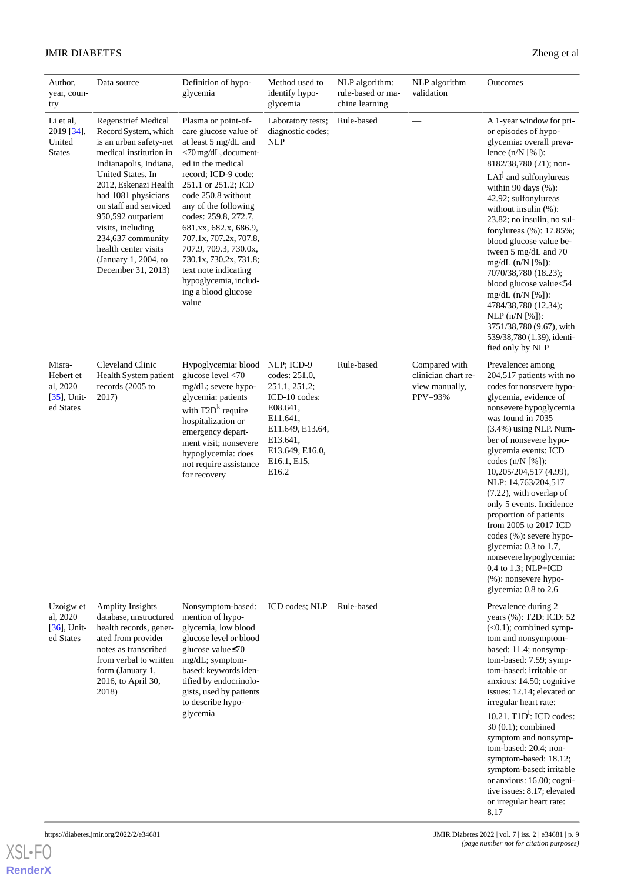| Author,<br>year, coun-<br>try                                  | Data source                                                                                                                                                                                                                                                                                                                                                          | Definition of hypo-<br>glycemia                                                                                                                                                                                                                                                                                                                                                                                              | Method used to<br>identify hypo-<br>glycemia                                                                                                                     | NLP algorithm:<br>rule-based or ma-<br>chine learning | NLP algorithm<br>validation                                       | Outcomes                                                                                                                                                                                                                                                                                                                                                                                                                                                                                                                                                                                           |
|----------------------------------------------------------------|----------------------------------------------------------------------------------------------------------------------------------------------------------------------------------------------------------------------------------------------------------------------------------------------------------------------------------------------------------------------|------------------------------------------------------------------------------------------------------------------------------------------------------------------------------------------------------------------------------------------------------------------------------------------------------------------------------------------------------------------------------------------------------------------------------|------------------------------------------------------------------------------------------------------------------------------------------------------------------|-------------------------------------------------------|-------------------------------------------------------------------|----------------------------------------------------------------------------------------------------------------------------------------------------------------------------------------------------------------------------------------------------------------------------------------------------------------------------------------------------------------------------------------------------------------------------------------------------------------------------------------------------------------------------------------------------------------------------------------------------|
| Li et al,<br>2019 [34],<br>United<br><b>States</b>             | <b>Regenstrief Medical</b><br>Record System, which<br>is an urban safety-net<br>medical institution in<br>Indianapolis, Indiana,<br>United States. In<br>2012, Eskenazi Health<br>had 1081 physicians<br>on staff and serviced<br>950,592 outpatient<br>visits, including<br>234,637 community<br>health center visits<br>(January 1, 2004, to<br>December 31, 2013) | Plasma or point-of-<br>care glucose value of<br>at least 5 mg/dL and<br><70 mg/dL, document-<br>ed in the medical<br>record; ICD-9 code:<br>251.1 or 251.2; ICD<br>code 250.8 without<br>any of the following<br>codes: 259.8, 272.7,<br>681.xx, 682.x, 686.9,<br>707.1x, 707.2x, 707.8,<br>707.9, 709.3, 730.0x,<br>730.1x, 730.2x, 731.8;<br>text note indicating<br>hypoglycemia, includ-<br>ing a blood glucose<br>value | Laboratory tests;<br>diagnostic codes;<br><b>NLP</b>                                                                                                             | Rule-based                                            |                                                                   | A 1-year window for pri-<br>or episodes of hypo-<br>glycemia: overall preva-<br>lence $(n/N [%]).$<br>8182/38,780 (21); non-<br>LAI <sup>J</sup> and sulfonylureas<br>within 90 days $(\% )$ :<br>42.92; sulfonylureas<br>without insulin (%):<br>$23.82$ ; no insulin, no sul-<br>fonylureas (%): 17.85%;<br>blood glucose value be-<br>tween 5 mg/dL and 70<br>$mg/dL$ (n/N [%]):<br>7070/38,780 (18.23);<br>blood glucose value<54<br>$mg/dL$ (n/N [%]):<br>4784/38,780 (12.34);<br>NLP (n/N [%]).<br>3751/38,780 (9.67), with<br>539/38,780 (1.39), identi-<br>fied only by NLP                |
| Misra-<br>Hebert et<br>al, 2020<br>$[35]$ , Unit-<br>ed States | Cleveland Clinic<br>Health System patient<br>records (2005 to<br>2017)                                                                                                                                                                                                                                                                                               | Hypoglycemia: blood<br>glucose level <70<br>mg/dL; severe hypo-<br>glycemia: patients<br>with $T2Dk$ require<br>hospitalization or<br>emergency depart-<br>ment visit; nonsevere<br>hypoglycemia: does<br>not require assistance<br>for recovery                                                                                                                                                                             | NLP; ICD-9<br>codes: 251.0,<br>251.1, 251.2;<br>ICD-10 codes:<br>E08.641,<br>E11.641,<br>E11.649, E13.64,<br>E13.641,<br>E13.649, E16.0,<br>E16.1, E15,<br>E16.2 | Rule-based                                            | Compared with<br>clinician chart re-<br>view manually,<br>PPV=93% | Prevalence: among<br>204,517 patients with no<br>codes for nonsevere hypo-<br>glycemia, evidence of<br>nonsevere hypoglycemia<br>was found in 7035<br>$(3.4\%)$ using NLP. Num-<br>ber of nonsevere hypo-<br>glycemia events: ICD<br>codes $(n/N \lceil \frac{9}{6} \rceil)$ :<br>10,205/204,517 (4.99),<br>NLP: 14,763/204,517<br>$(7.22)$ , with overlap of<br>only 5 events. Incidence<br>proportion of patients<br>from 2005 to 2017 ICD<br>codes (%): severe hypo-<br>glycemia: 0.3 to 1.7,<br>nonsevere hypoglycemia:<br>0.4 to 1.3; NLP+ICD<br>(%): nonsevere hypo-<br>glycemia: 0.8 to 2.6 |
| Uzoigw et<br>al, 2020<br>$[36]$ , Unit-<br>ed States           | <b>Amplity Insights</b><br>database, unstructured<br>health records, gener-<br>ated from provider<br>notes as transcribed<br>from verbal to written<br>form (January 1,<br>2016, to April 30,<br>2018)                                                                                                                                                               | Nonsymptom-based:<br>mention of hypo-<br>glycemia, low blood<br>glucose level or blood<br>glucose value≤70<br>mg/dL; symptom-<br>based: keywords iden-<br>tified by endocrinolo-<br>gists, used by patients<br>to describe hypo-<br>glycemia                                                                                                                                                                                 | ICD codes; NLP                                                                                                                                                   | Rule-based                                            |                                                                   | Prevalence during 2<br>years (%): T2D: ICD: 52<br>$(<0.1)$ ; combined symp-<br>tom and nonsymptom-<br>based: 11.4; nonsymp-<br>tom-based: 7.59; symp-<br>tom-based: irritable or<br>anxious: 14.50; cognitive<br>issues: 12.14; elevated or<br>irregular heart rate:<br>10.21. $T1D^1$ : ICD codes:<br>$30(0.1)$ ; combined<br>symptom and nonsymp-<br>tom-based: 20.4; non-<br>symptom-based: 18.12;<br>symptom-based: irritable<br>or anxious: 16.00; cogni-<br>tive issues: 8.17; elevated<br>or irregular heart rate:<br>8.17                                                                  |

**[RenderX](http://www.renderx.com/)**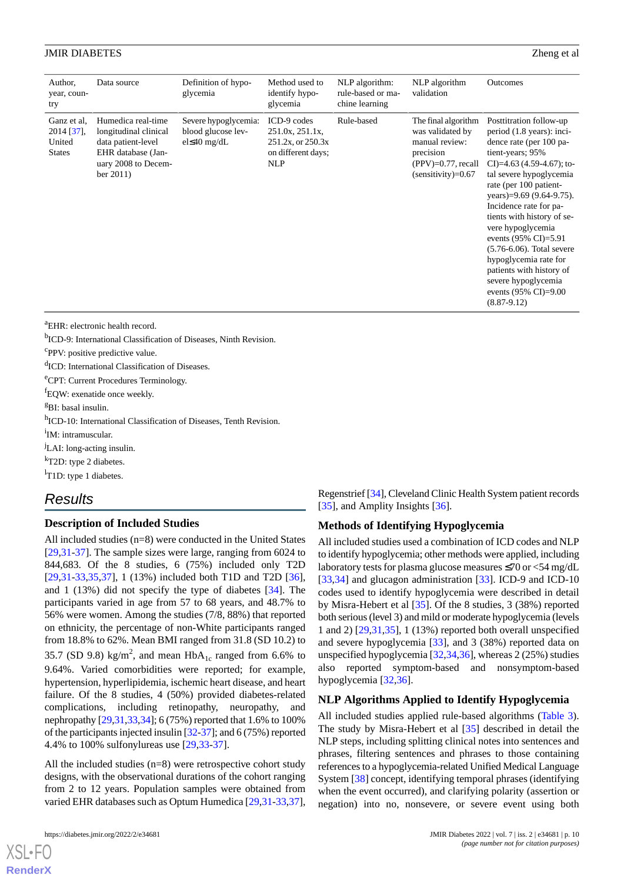| Author,<br>year, coun-<br>try                        | Data source                                                                                                                  | Definition of hypo-<br>glycemia                                  | Method used to<br>identify hypo-<br>glycemia                                            | NLP algorithm:<br>rule-based or ma-<br>chine learning | NLP algorithm<br>validation                                                                                             | Outcomes                                                                                                                                                                                                                                                                                                                                                                                                                                                                                    |
|------------------------------------------------------|------------------------------------------------------------------------------------------------------------------------------|------------------------------------------------------------------|-----------------------------------------------------------------------------------------|-------------------------------------------------------|-------------------------------------------------------------------------------------------------------------------------|---------------------------------------------------------------------------------------------------------------------------------------------------------------------------------------------------------------------------------------------------------------------------------------------------------------------------------------------------------------------------------------------------------------------------------------------------------------------------------------------|
| Ganz et al.<br>2014 [37],<br>United<br><b>States</b> | Humedica real-time<br>longitudinal clinical<br>data patient-level<br>EHR database (Jan-<br>uary 2008 to Decem-<br>ber $2011$ | Severe hypoglycemia:<br>blood glucose lev-<br>$el \leq 40$ mg/dL | ICD-9 codes<br>251.0x, 251.1x,<br>251.2x, or 250.3x<br>on different days;<br><b>NLP</b> | Rule-based                                            | The final algorithm<br>was validated by<br>manual review:<br>precision<br>$(PPV)=0.77$ , recall<br>$(sensitivity)=0.67$ | Posttitration follow-up<br>period (1.8 years): inci-<br>dence rate (per 100 pa-<br>tient-years; 95%<br>CI $=4.63(4.59-4.67)$ ; to-<br>tal severe hypoglycemia<br>rate (per 100 patient-<br>years)= $9.69$ (9.64-9.75).<br>Incidence rate for pa-<br>tients with history of se-<br>vere hypoglycemia<br>events (95% CI)=5.91<br>$(5.76-6.06)$ . Total severe<br>hypoglycemia rate for<br>patients with history of<br>severe hypoglycemia<br>events $(95\% \text{ CI})=9.00$<br>$(8.87-9.12)$ |

<sup>a</sup>EHR: electronic health record.

<sup>b</sup>ICD-9: International Classification of Diseases, Ninth Revision.

<sup>c</sup>PPV: positive predictive value.

d<sub>ICD</sub>: International Classification of Diseases.

<sup>e</sup>CPT: Current Procedures Terminology.

<sup>f</sup>EQW: exenatide once weekly.

<sup>g</sup>BI: basal insulin.

h<sub>ICD-10</sub>: International Classification of Diseases, Tenth Revision.

<sup>i</sup>IM: intramuscular.

<sup>J</sup>LAI: long-acting insulin.

<sup>k</sup>T2D: type 2 diabetes.

<sup>1</sup>T1D: type 1 diabetes.

## *Results*

## **Description of Included Studies**

All included studies (n=8) were conducted in the United States [[29](#page-13-10)[,31](#page-13-12)-[37\]](#page-13-18). The sample sizes were large, ranging from 6024 to 844,683. Of the 8 studies, 6 (75%) included only T2D [[29](#page-13-10)[,31](#page-13-12)-[33,](#page-13-14)[35](#page-13-16),[37\]](#page-13-18), 1 (13%) included both T1D and T2D [[36\]](#page-13-17), and 1 (13%) did not specify the type of diabetes [\[34](#page-13-15)]. The participants varied in age from 57 to 68 years, and 48.7% to 56% were women. Among the studies (7/8, 88%) that reported on ethnicity, the percentage of non-White participants ranged from 18.8% to 62%. Mean BMI ranged from 31.8 (SD 10.2) to 35.7 (SD 9.8) kg/m<sup>2</sup>, and mean  $HbA_{1c}$  ranged from 6.6% to 9.64%. Varied comorbidities were reported; for example, hypertension, hyperlipidemia, ischemic heart disease, and heart failure. Of the 8 studies, 4 (50%) provided diabetes-related complications, including retinopathy, neuropathy, and nephropathy [\[29](#page-13-10)[,31](#page-13-12),[33](#page-13-14),[34\]](#page-13-15); 6 (75%) reported that 1.6% to 100% of the participants injected insulin [[32-](#page-13-13)[37\]](#page-13-18); and 6 (75%) reported 4.4% to 100% sulfonylureas use [\[29](#page-13-10),[33](#page-13-14)[-37](#page-13-18)].

All the included studies (n=8) were retrospective cohort study designs, with the observational durations of the cohort ranging from 2 to 12 years. Population samples were obtained from varied EHR databases such as Optum Humedica [[29,](#page-13-10)[31](#page-13-12)[-33](#page-13-14),[37\]](#page-13-18),

[XSL](http://www.w3.org/Style/XSL)•FO **[RenderX](http://www.renderx.com/)**

Regenstrief [\[34](#page-13-15)], Cleveland Clinic Health System patient records [[35\]](#page-13-16), and Amplity Insights [[36\]](#page-13-17).

#### **Methods of Identifying Hypoglycemia**

All included studies used a combination of ICD codes and NLP to identify hypoglycemia; other methods were applied, including laboratory tests for plasma glucose measures ≤70 or <54 mg/dL [[33,](#page-13-14)[34\]](#page-13-15) and glucagon administration [\[33](#page-13-14)]. ICD-9 and ICD-10 codes used to identify hypoglycemia were described in detail by Misra-Hebert et al [\[35](#page-13-16)]. Of the 8 studies, 3 (38%) reported both serious (level 3) and mild or moderate hypoglycemia (levels 1 and 2) [\[29](#page-13-10),[31](#page-13-12)[,35](#page-13-16)], 1 (13%) reported both overall unspecified and severe hypoglycemia [[33\]](#page-13-14), and 3 (38%) reported data on unspecified hypoglycemia [[32,](#page-13-13)[34](#page-13-15)[,36](#page-13-17)], whereas 2 (25%) studies also reported symptom-based and nonsymptom-based hypoglycemia [\[32](#page-13-13),[36\]](#page-13-17).

## **NLP Algorithms Applied to Identify Hypoglycemia**

All included studies applied rule-based algorithms [\(Table 3\)](#page-10-0). The study by Misra-Hebert et al [\[35](#page-13-16)] described in detail the NLP steps, including splitting clinical notes into sentences and phrases, filtering sentences and phrases to those containing references to a hypoglycemia-related Unified Medical Language System [\[38](#page-14-0)] concept, identifying temporal phrases (identifying when the event occurred), and clarifying polarity (assertion or negation) into no, nonsevere, or severe event using both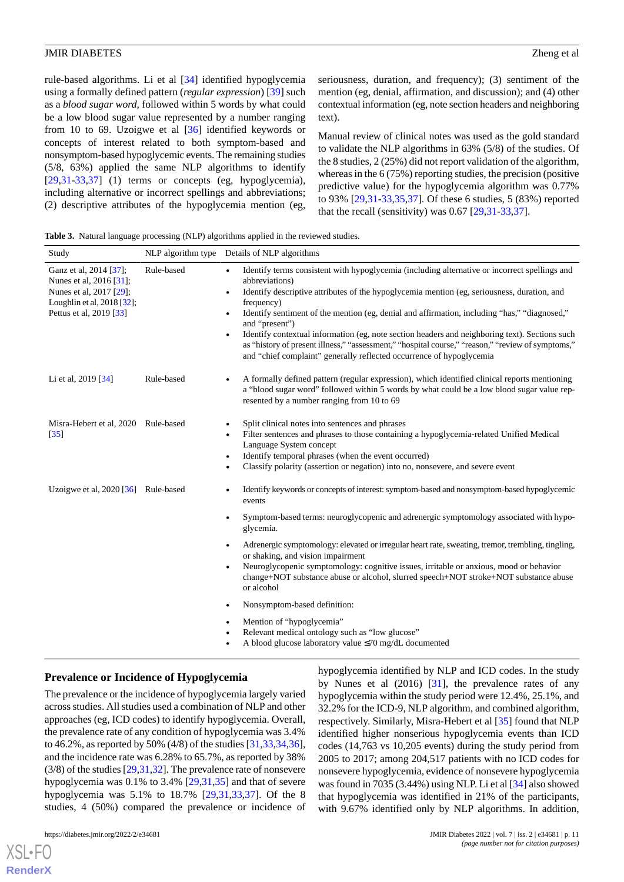rule-based algorithms. Li et al [[34\]](#page-13-15) identified hypoglycemia using a formally defined pattern (*regular expression*) [[39\]](#page-14-1) such as a *blood sugar word,* followed within 5 words by what could be a low blood sugar value represented by a number ranging from 10 to 69. Uzoigwe et al [\[36](#page-13-17)] identified keywords or concepts of interest related to both symptom-based and nonsymptom-based hypoglycemic events. The remaining studies (5/8, 63%) applied the same NLP algorithms to identify  $[29,31-33,37]$  $[29,31-33,37]$  $[29,31-33,37]$  $[29,31-33,37]$  $[29,31-33,37]$  $[29,31-33,37]$  $[29,31-33,37]$  (1) terms or concepts (eg, hypoglycemia), including alternative or incorrect spellings and abbreviations; (2) descriptive attributes of the hypoglycemia mention (eg,

seriousness, duration, and frequency); (3) sentiment of the mention (eg, denial, affirmation, and discussion); and (4) other contextual information (eg, note section headers and neighboring text).

Manual review of clinical notes was used as the gold standard to validate the NLP algorithms in 63% (5/8) of the studies. Of the 8 studies, 2 (25%) did not report validation of the algorithm, whereas in the 6 (75%) reporting studies, the precision (positive predictive value) for the hypoglycemia algorithm was 0.77% to 93% [\[29](#page-13-10),[31-](#page-13-12)[33](#page-13-14),[35,](#page-13-16)[37](#page-13-18)]. Of these 6 studies, 5 (83%) reported that the recall (sensitivity) was 0.67 [[29](#page-13-10)[,31](#page-13-12)-[33,](#page-13-14)[37](#page-13-18)].

<span id="page-10-0"></span>**Table 3.** Natural language processing (NLP) algorithms applied in the reviewed studies.

| Study                                                                                                                                 |            | NLP algorithm type Details of NLP algorithms                                                                                                                                                                                                                                                                                                                                                                                                                                                                                                                                                                                                                                      |
|---------------------------------------------------------------------------------------------------------------------------------------|------------|-----------------------------------------------------------------------------------------------------------------------------------------------------------------------------------------------------------------------------------------------------------------------------------------------------------------------------------------------------------------------------------------------------------------------------------------------------------------------------------------------------------------------------------------------------------------------------------------------------------------------------------------------------------------------------------|
| Ganz et al, 2014 [37];<br>Nunes et al. 2016 [31];<br>Nunes et al, 2017 [29];<br>Loughlin et al, 2018 [32];<br>Pettus et al, 2019 [33] | Rule-based | Identify terms consistent with hypoglycemia (including alternative or incorrect spellings and<br>$\bullet$<br>abbreviations)<br>Identify descriptive attributes of the hypoglycemia mention (eg, seriousness, duration, and<br>$\bullet$<br>frequency)<br>Identify sentiment of the mention (eg, denial and affirmation, including "has," "diagnosed,"<br>$\bullet$<br>and "present")<br>Identify contextual information (eg, note section headers and neighboring text). Sections such<br>$\bullet$<br>as "history of present illness," "assessment," "hospital course," "reason," "review of symptoms,"<br>and "chief complaint" generally reflected occurrence of hypoglycemia |
| Li et al, 2019 [34]                                                                                                                   | Rule-based | A formally defined pattern (regular expression), which identified clinical reports mentioning<br>$\bullet$<br>a "blood sugar word" followed within 5 words by what could be a low blood sugar value rep-<br>resented by a number ranging from 10 to 69                                                                                                                                                                                                                                                                                                                                                                                                                            |
| Misra-Hebert et al, 2020 Rule-based<br>$\left[35\right]$                                                                              |            | Split clinical notes into sentences and phrases<br>$\bullet$<br>Filter sentences and phrases to those containing a hypoglycemia-related Unified Medical<br>$\bullet$<br>Language System concept<br>Identify temporal phrases (when the event occurred)<br>$\bullet$<br>Classify polarity (assertion or negation) into no, nonsevere, and severe event<br>$\bullet$                                                                                                                                                                                                                                                                                                                |
| Uzoigwe et al, $2020$ [ $36$ ] Rule-based                                                                                             |            | Identify keywords or concepts of interest: symptom-based and nonsymptom-based hypoglycemic<br>$\bullet$<br>events                                                                                                                                                                                                                                                                                                                                                                                                                                                                                                                                                                 |
|                                                                                                                                       |            | Symptom-based terms: neuroglycopenic and adrenergic symptomology associated with hypo-<br>$\bullet$<br>glycemia.                                                                                                                                                                                                                                                                                                                                                                                                                                                                                                                                                                  |
|                                                                                                                                       |            | Adrenergic symptomology: elevated or irregular heart rate, sweating, tremor, trembling, tingling,<br>$\bullet$<br>or shaking, and vision impairment<br>Neuroglycopenic symptomology: cognitive issues, irritable or anxious, mood or behavior<br>$\bullet$<br>change+NOT substance abuse or alcohol, slurred speech+NOT stroke+NOT substance abuse<br>or alcohol                                                                                                                                                                                                                                                                                                                  |
|                                                                                                                                       |            | Nonsymptom-based definition:<br>$\bullet$                                                                                                                                                                                                                                                                                                                                                                                                                                                                                                                                                                                                                                         |
|                                                                                                                                       |            | Mention of "hypoglycemia"<br>$\bullet$<br>Relevant medical ontology such as "low glucose"<br>٠<br>A blood glucose laboratory value ≤70 mg/dL documented<br>$\bullet$                                                                                                                                                                                                                                                                                                                                                                                                                                                                                                              |

## **Prevalence or Incidence of Hypoglycemia**

The prevalence or the incidence of hypoglycemia largely varied across studies. All studies used a combination of NLP and other approaches (eg, ICD codes) to identify hypoglycemia. Overall, the prevalence rate of any condition of hypoglycemia was 3.4% to 46.2%, as reported by 50% (4/8) of the studies [\[31](#page-13-12),[33](#page-13-14)[,34](#page-13-15),[36\]](#page-13-17), and the incidence rate was 6.28% to 65.7%, as reported by 38% (3/8) of the studies [[29,](#page-13-10)[31](#page-13-12),[32](#page-13-13)]. The prevalence rate of nonsevere hypoglycemia was 0.1% to 3.4% [\[29](#page-13-10),[31,](#page-13-12)[35](#page-13-16)] and that of severe hypoglycemia was 5.1% to 18.7% [\[29](#page-13-10),[31,](#page-13-12)[33](#page-13-14),[37\]](#page-13-18). Of the 8 studies, 4 (50%) compared the prevalence or incidence of

hypoglycemia identified by NLP and ICD codes. In the study by Nunes et al  $(2016)$   $[31]$  $[31]$ , the prevalence rates of any hypoglycemia within the study period were 12.4%, 25.1%, and 32.2% for the ICD-9, NLP algorithm, and combined algorithm, respectively. Similarly, Misra-Hebert et al [\[35](#page-13-16)] found that NLP identified higher nonserious hypoglycemia events than ICD codes (14,763 vs 10,205 events) during the study period from 2005 to 2017; among 204,517 patients with no ICD codes for nonsevere hypoglycemia, evidence of nonsevere hypoglycemia was found in 7035 (3.44%) using NLP. Li et al [[34\]](#page-13-15) also showed that hypoglycemia was identified in 21% of the participants, with 9.67% identified only by NLP algorithms. In addition,

[XSL](http://www.w3.org/Style/XSL)•FO **[RenderX](http://www.renderx.com/)**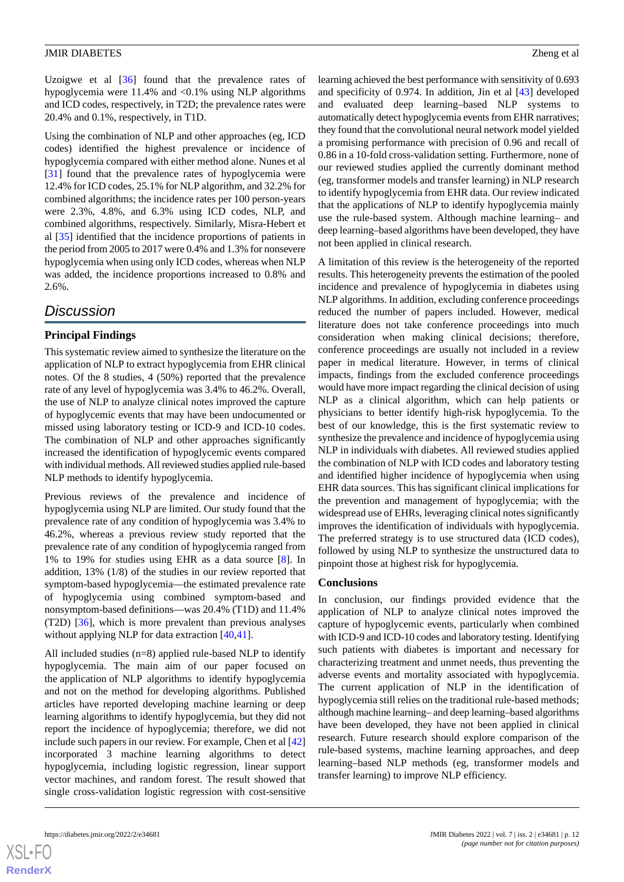Uzoigwe et al [[36\]](#page-13-17) found that the prevalence rates of hypoglycemia were 11.4% and <0.1% using NLP algorithms and ICD codes, respectively, in T2D; the prevalence rates were 20.4% and 0.1%, respectively, in T1D.

Using the combination of NLP and other approaches (eg, ICD codes) identified the highest prevalence or incidence of hypoglycemia compared with either method alone. Nunes et al [[31\]](#page-13-12) found that the prevalence rates of hypoglycemia were 12.4% for ICD codes, 25.1% for NLP algorithm, and 32.2% for combined algorithms; the incidence rates per 100 person-years were 2.3%, 4.8%, and 6.3% using ICD codes, NLP, and combined algorithms, respectively. Similarly, Misra-Hebert et al [\[35](#page-13-16)] identified that the incidence proportions of patients in the period from 2005 to 2017 were 0.4% and 1.3% for nonsevere hypoglycemia when using only ICD codes, whereas when NLP was added, the incidence proportions increased to 0.8% and 2.6%.

## *Discussion*

## **Principal Findings**

This systematic review aimed to synthesize the literature on the application of NLP to extract hypoglycemia from EHR clinical notes. Of the 8 studies, 4 (50%) reported that the prevalence rate of any level of hypoglycemia was 3.4% to 46.2%. Overall, the use of NLP to analyze clinical notes improved the capture of hypoglycemic events that may have been undocumented or missed using laboratory testing or ICD-9 and ICD-10 codes. The combination of NLP and other approaches significantly increased the identification of hypoglycemic events compared with individual methods. All reviewed studies applied rule-based NLP methods to identify hypoglycemia.

Previous reviews of the prevalence and incidence of hypoglycemia using NLP are limited. Our study found that the prevalence rate of any condition of hypoglycemia was 3.4% to 46.2%, whereas a previous review study reported that the prevalence rate of any condition of hypoglycemia ranged from 1% to 19% for studies using EHR as a data source [\[8](#page-12-7)]. In addition, 13% (1/8) of the studies in our review reported that symptom-based hypoglycemia—the estimated prevalence rate of hypoglycemia using combined symptom-based and nonsymptom-based definitions—was 20.4% (T1D) and 11.4% (T2D) [[36\]](#page-13-17), which is more prevalent than previous analyses without applying NLP for data extraction [[40,](#page-14-2)[41\]](#page-14-3).

All included studies (n=8) applied rule-based NLP to identify hypoglycemia. The main aim of our paper focused on the application of NLP algorithms to identify hypoglycemia and not on the method for developing algorithms. Published articles have reported developing machine learning or deep learning algorithms to identify hypoglycemia, but they did not report the incidence of hypoglycemia; therefore, we did not include such papers in our review. For example, Chen et al [\[42](#page-14-4)] incorporated 3 machine learning algorithms to detect hypoglycemia, including logistic regression, linear support vector machines, and random forest. The result showed that single cross-validation logistic regression with cost-sensitive

learning achieved the best performance with sensitivity of 0.693 and specificity of 0.974. In addition, Jin et al [\[43](#page-14-5)] developed and evaluated deep learning–based NLP systems to automatically detect hypoglycemia events from EHR narratives; they found that the convolutional neural network model yielded a promising performance with precision of 0.96 and recall of 0.86 in a 10-fold cross-validation setting. Furthermore, none of our reviewed studies applied the currently dominant method (eg, transformer models and transfer learning) in NLP research to identify hypoglycemia from EHR data. Our review indicated that the applications of NLP to identify hypoglycemia mainly use the rule-based system. Although machine learning– and deep learning–based algorithms have been developed, they have not been applied in clinical research.

A limitation of this review is the heterogeneity of the reported results. This heterogeneity prevents the estimation of the pooled incidence and prevalence of hypoglycemia in diabetes using NLP algorithms. In addition, excluding conference proceedings reduced the number of papers included. However, medical literature does not take conference proceedings into much consideration when making clinical decisions; therefore, conference proceedings are usually not included in a review paper in medical literature. However, in terms of clinical impacts, findings from the excluded conference proceedings would have more impact regarding the clinical decision of using NLP as a clinical algorithm, which can help patients or physicians to better identify high-risk hypoglycemia. To the best of our knowledge, this is the first systematic review to synthesize the prevalence and incidence of hypoglycemia using NLP in individuals with diabetes. All reviewed studies applied the combination of NLP with ICD codes and laboratory testing and identified higher incidence of hypoglycemia when using EHR data sources. This has significant clinical implications for the prevention and management of hypoglycemia; with the widespread use of EHRs, leveraging clinical notes significantly improves the identification of individuals with hypoglycemia. The preferred strategy is to use structured data (ICD codes), followed by using NLP to synthesize the unstructured data to pinpoint those at highest risk for hypoglycemia.

## **Conclusions**

In conclusion, our findings provided evidence that the application of NLP to analyze clinical notes improved the capture of hypoglycemic events, particularly when combined with ICD-9 and ICD-10 codes and laboratory testing. Identifying such patients with diabetes is important and necessary for characterizing treatment and unmet needs, thus preventing the adverse events and mortality associated with hypoglycemia. The current application of NLP in the identification of hypoglycemia still relies on the traditional rule-based methods; although machine learning– and deep learning–based algorithms have been developed, they have not been applied in clinical research. Future research should explore comparison of the rule-based systems, machine learning approaches, and deep learning–based NLP methods (eg, transformer models and transfer learning) to improve NLP efficiency.

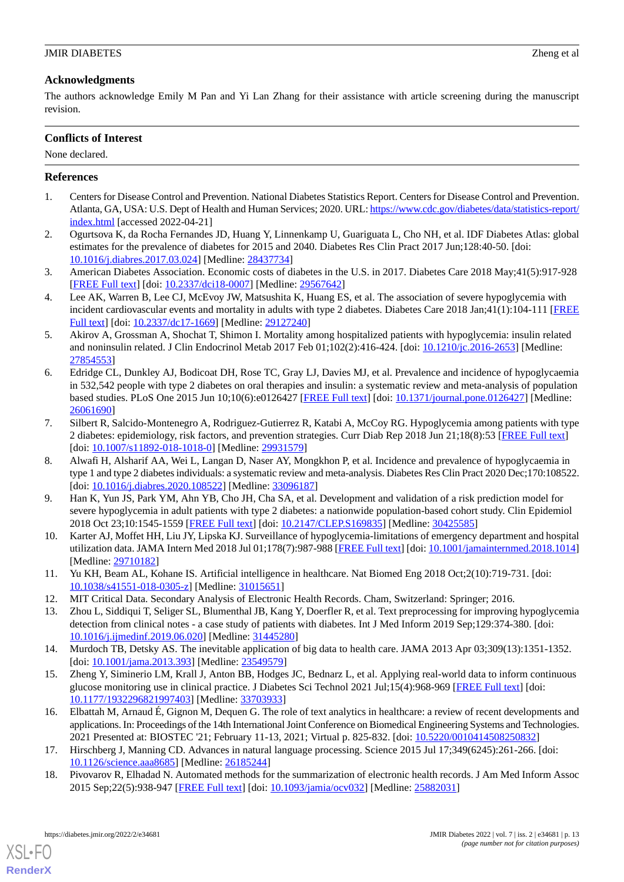## **Acknowledgments**

The authors acknowledge Emily M Pan and Yi Lan Zhang for their assistance with article screening during the manuscript revision.

## **Conflicts of Interest**

None declared.

## <span id="page-12-0"></span>**References**

- <span id="page-12-1"></span>1. Centers for Disease Control and Prevention. National Diabetes Statistics Report. Centers for Disease Control and Prevention. Atlanta, GA, USA: U.S. Dept of Health and Human Services; 2020. URL: [https://www.cdc.gov/diabetes/data/statistics-report/](https://www.cdc.gov/diabetes/data/statistics-report/index.html) [index.html](https://www.cdc.gov/diabetes/data/statistics-report/index.html) [accessed 2022-04-21]
- <span id="page-12-2"></span>2. Ogurtsova K, da Rocha Fernandes JD, Huang Y, Linnenkamp U, Guariguata L, Cho NH, et al. IDF Diabetes Atlas: global estimates for the prevalence of diabetes for 2015 and 2040. Diabetes Res Clin Pract 2017 Jun;128:40-50. [doi: [10.1016/j.diabres.2017.03.024](http://dx.doi.org/10.1016/j.diabres.2017.03.024)] [Medline: [28437734](http://www.ncbi.nlm.nih.gov/entrez/query.fcgi?cmd=Retrieve&db=PubMed&list_uids=28437734&dopt=Abstract)]
- <span id="page-12-3"></span>3. American Diabetes Association. Economic costs of diabetes in the U.S. in 2017. Diabetes Care 2018 May;41(5):917-928 [[FREE Full text](http://europepmc.org/abstract/MED/29567642)] [doi: [10.2337/dci18-0007](http://dx.doi.org/10.2337/dci18-0007)] [Medline: [29567642](http://www.ncbi.nlm.nih.gov/entrez/query.fcgi?cmd=Retrieve&db=PubMed&list_uids=29567642&dopt=Abstract)]
- <span id="page-12-4"></span>4. Lee AK, Warren B, Lee CJ, McEvoy JW, Matsushita K, Huang ES, et al. The association of severe hypoglycemia with incident cardiovascular events and mortality in adults with type 2 diabetes. Diabetes Care 2018 Jan;41(1):104-111 [\[FREE](http://europepmc.org/abstract/MED/29127240) [Full text\]](http://europepmc.org/abstract/MED/29127240) [doi: [10.2337/dc17-1669](http://dx.doi.org/10.2337/dc17-1669)] [Medline: [29127240](http://www.ncbi.nlm.nih.gov/entrez/query.fcgi?cmd=Retrieve&db=PubMed&list_uids=29127240&dopt=Abstract)]
- <span id="page-12-5"></span>5. Akirov A, Grossman A, Shochat T, Shimon I. Mortality among hospitalized patients with hypoglycemia: insulin related and noninsulin related. J Clin Endocrinol Metab 2017 Feb 01;102(2):416-424. [doi: [10.1210/jc.2016-2653\]](http://dx.doi.org/10.1210/jc.2016-2653) [Medline: [27854553](http://www.ncbi.nlm.nih.gov/entrez/query.fcgi?cmd=Retrieve&db=PubMed&list_uids=27854553&dopt=Abstract)]
- <span id="page-12-6"></span>6. Edridge CL, Dunkley AJ, Bodicoat DH, Rose TC, Gray LJ, Davies MJ, et al. Prevalence and incidence of hypoglycaemia in 532,542 people with type 2 diabetes on oral therapies and insulin: a systematic review and meta-analysis of population based studies. PLoS One 2015 Jun 10;10(6):e0126427 [[FREE Full text](https://dx.plos.org/10.1371/journal.pone.0126427)] [doi: [10.1371/journal.pone.0126427](http://dx.doi.org/10.1371/journal.pone.0126427)] [Medline: [26061690](http://www.ncbi.nlm.nih.gov/entrez/query.fcgi?cmd=Retrieve&db=PubMed&list_uids=26061690&dopt=Abstract)]
- <span id="page-12-7"></span>7. Silbert R, Salcido-Montenegro A, Rodriguez-Gutierrez R, Katabi A, McCoy RG. Hypoglycemia among patients with type 2 diabetes: epidemiology, risk factors, and prevention strategies. Curr Diab Rep 2018 Jun 21;18(8):53 [[FREE Full text](http://europepmc.org/abstract/MED/29931579)] [doi: [10.1007/s11892-018-1018-0](http://dx.doi.org/10.1007/s11892-018-1018-0)] [Medline: [29931579\]](http://www.ncbi.nlm.nih.gov/entrez/query.fcgi?cmd=Retrieve&db=PubMed&list_uids=29931579&dopt=Abstract)
- <span id="page-12-8"></span>8. Alwafi H, Alsharif AA, Wei L, Langan D, Naser AY, Mongkhon P, et al. Incidence and prevalence of hypoglycaemia in type 1 and type 2 diabetes individuals: a systematic review and meta-analysis. Diabetes Res Clin Pract 2020 Dec;170:108522. [doi: [10.1016/j.diabres.2020.108522](http://dx.doi.org/10.1016/j.diabres.2020.108522)] [Medline: [33096187](http://www.ncbi.nlm.nih.gov/entrez/query.fcgi?cmd=Retrieve&db=PubMed&list_uids=33096187&dopt=Abstract)]
- <span id="page-12-9"></span>9. Han K, Yun JS, Park YM, Ahn YB, Cho JH, Cha SA, et al. Development and validation of a risk prediction model for severe hypoglycemia in adult patients with type 2 diabetes: a nationwide population-based cohort study. Clin Epidemiol 2018 Oct 23;10:1545-1559 [[FREE Full text](https://dx.doi.org/10.2147/CLEP.S169835)] [doi: [10.2147/CLEP.S169835](http://dx.doi.org/10.2147/CLEP.S169835)] [Medline: [30425585\]](http://www.ncbi.nlm.nih.gov/entrez/query.fcgi?cmd=Retrieve&db=PubMed&list_uids=30425585&dopt=Abstract)
- <span id="page-12-12"></span><span id="page-12-11"></span><span id="page-12-10"></span>10. Karter AJ, Moffet HH, Liu JY, Lipska KJ. Surveillance of hypoglycemia-limitations of emergency department and hospital utilization data. JAMA Intern Med 2018 Jul 01;178(7):987-988 [[FREE Full text\]](http://europepmc.org/abstract/MED/29710182) [doi: [10.1001/jamainternmed.2018.1014](http://dx.doi.org/10.1001/jamainternmed.2018.1014)] [Medline: [29710182](http://www.ncbi.nlm.nih.gov/entrez/query.fcgi?cmd=Retrieve&db=PubMed&list_uids=29710182&dopt=Abstract)]
- <span id="page-12-13"></span>11. Yu KH, Beam AL, Kohane IS. Artificial intelligence in healthcare. Nat Biomed Eng 2018 Oct;2(10):719-731. [doi: [10.1038/s41551-018-0305-z](http://dx.doi.org/10.1038/s41551-018-0305-z)] [Medline: [31015651\]](http://www.ncbi.nlm.nih.gov/entrez/query.fcgi?cmd=Retrieve&db=PubMed&list_uids=31015651&dopt=Abstract)
- 12. MIT Critical Data. Secondary Analysis of Electronic Health Records. Cham, Switzerland: Springer; 2016.
- <span id="page-12-14"></span>13. Zhou L, Siddiqui T, Seliger SL, Blumenthal JB, Kang Y, Doerfler R, et al. Text preprocessing for improving hypoglycemia detection from clinical notes - a case study of patients with diabetes. Int J Med Inform 2019 Sep;129:374-380. [doi: [10.1016/j.ijmedinf.2019.06.020\]](http://dx.doi.org/10.1016/j.ijmedinf.2019.06.020) [Medline: [31445280](http://www.ncbi.nlm.nih.gov/entrez/query.fcgi?cmd=Retrieve&db=PubMed&list_uids=31445280&dopt=Abstract)]
- <span id="page-12-15"></span>14. Murdoch TB, Detsky AS. The inevitable application of big data to health care. JAMA 2013 Apr 03;309(13):1351-1352. [doi: [10.1001/jama.2013.393\]](http://dx.doi.org/10.1001/jama.2013.393) [Medline: [23549579](http://www.ncbi.nlm.nih.gov/entrez/query.fcgi?cmd=Retrieve&db=PubMed&list_uids=23549579&dopt=Abstract)]
- <span id="page-12-16"></span>15. Zheng Y, Siminerio LM, Krall J, Anton BB, Hodges JC, Bednarz L, et al. Applying real-world data to inform continuous glucose monitoring use in clinical practice. J Diabetes Sci Technol 2021 Jul;15(4):968-969 [[FREE Full text\]](http://europepmc.org/abstract/MED/33703933) [doi: [10.1177/1932296821997403\]](http://dx.doi.org/10.1177/1932296821997403) [Medline: [33703933\]](http://www.ncbi.nlm.nih.gov/entrez/query.fcgi?cmd=Retrieve&db=PubMed&list_uids=33703933&dopt=Abstract)
- <span id="page-12-17"></span>16. Elbattah M, Arnaud É, Gignon M, Dequen G. The role of text analytics in healthcare: a review of recent developments and applications. In: Proceedings of the 14th International Joint Conference on Biomedical Engineering Systems and Technologies. 2021 Presented at: BIOSTEC '21; February 11-13, 2021; Virtual p. 825-832. [doi: [10.5220/0010414508250832\]](http://dx.doi.org/10.5220/0010414508250832)
- 17. Hirschberg J, Manning CD. Advances in natural language processing. Science 2015 Jul 17;349(6245):261-266. [doi: [10.1126/science.aaa8685](http://dx.doi.org/10.1126/science.aaa8685)] [Medline: [26185244\]](http://www.ncbi.nlm.nih.gov/entrez/query.fcgi?cmd=Retrieve&db=PubMed&list_uids=26185244&dopt=Abstract)
- 18. Pivovarov R, Elhadad N. Automated methods for the summarization of electronic health records. J Am Med Inform Assoc 2015 Sep;22(5):938-947 [\[FREE Full text\]](http://europepmc.org/abstract/MED/25882031) [doi: [10.1093/jamia/ocv032\]](http://dx.doi.org/10.1093/jamia/ocv032) [Medline: [25882031\]](http://www.ncbi.nlm.nih.gov/entrez/query.fcgi?cmd=Retrieve&db=PubMed&list_uids=25882031&dopt=Abstract)

[XSL](http://www.w3.org/Style/XSL)•FO **[RenderX](http://www.renderx.com/)**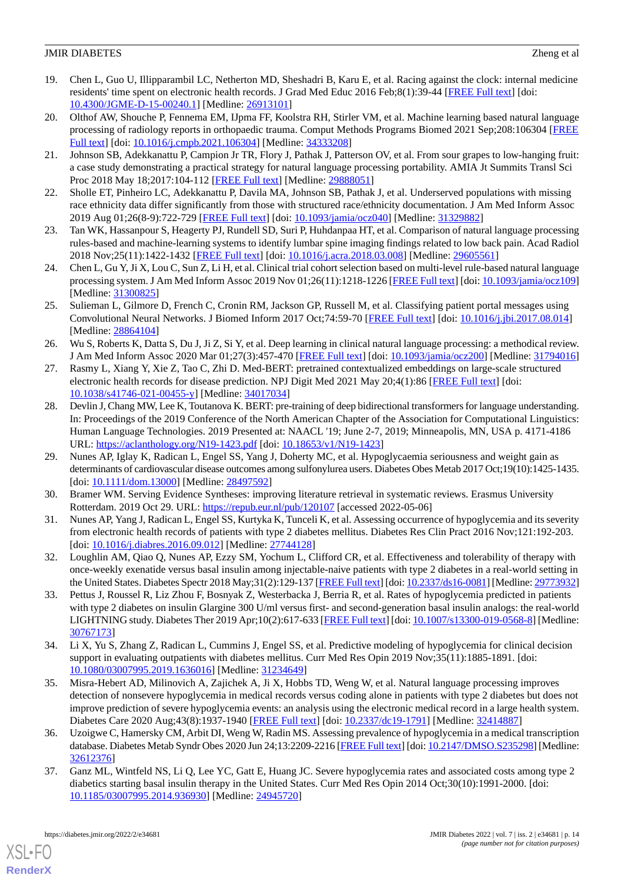- <span id="page-13-0"></span>19. Chen L, Guo U, Illipparambil LC, Netherton MD, Sheshadri B, Karu E, et al. Racing against the clock: internal medicine residents' time spent on electronic health records. J Grad Med Educ 2016 Feb;8(1):39-44 [[FREE Full text](http://europepmc.org/abstract/MED/26913101)] [doi: [10.4300/JGME-D-15-00240.1\]](http://dx.doi.org/10.4300/JGME-D-15-00240.1) [Medline: [26913101](http://www.ncbi.nlm.nih.gov/entrez/query.fcgi?cmd=Retrieve&db=PubMed&list_uids=26913101&dopt=Abstract)]
- <span id="page-13-1"></span>20. Olthof AW, Shouche P, Fennema EM, IJpma FF, Koolstra RH, Stirler VM, et al. Machine learning based natural language processing of radiology reports in orthopaedic trauma. Comput Methods Programs Biomed 2021 Sep;208:106304 [[FREE](https://linkinghub.elsevier.com/retrieve/pii/S0169-2607(21)00378-3) [Full text\]](https://linkinghub.elsevier.com/retrieve/pii/S0169-2607(21)00378-3) [doi: [10.1016/j.cmpb.2021.106304\]](http://dx.doi.org/10.1016/j.cmpb.2021.106304) [Medline: [34333208](http://www.ncbi.nlm.nih.gov/entrez/query.fcgi?cmd=Retrieve&db=PubMed&list_uids=34333208&dopt=Abstract)]
- <span id="page-13-3"></span><span id="page-13-2"></span>21. Johnson SB, Adekkanattu P, Campion Jr TR, Flory J, Pathak J, Patterson OV, et al. From sour grapes to low-hanging fruit: a case study demonstrating a practical strategy for natural language processing portability. AMIA Jt Summits Transl Sci Proc 2018 May 18;2017:104-112 [\[FREE Full text\]](http://europepmc.org/abstract/MED/29888051) [Medline: [29888051\]](http://www.ncbi.nlm.nih.gov/entrez/query.fcgi?cmd=Retrieve&db=PubMed&list_uids=29888051&dopt=Abstract)
- <span id="page-13-4"></span>22. Sholle ET, Pinheiro LC, Adekkanattu P, Davila MA, Johnson SB, Pathak J, et al. Underserved populations with missing race ethnicity data differ significantly from those with structured race/ethnicity documentation. J Am Med Inform Assoc 2019 Aug 01;26(8-9):722-729 [\[FREE Full text\]](http://europepmc.org/abstract/MED/31329882) [doi: [10.1093/jamia/ocz040](http://dx.doi.org/10.1093/jamia/ocz040)] [Medline: [31329882](http://www.ncbi.nlm.nih.gov/entrez/query.fcgi?cmd=Retrieve&db=PubMed&list_uids=31329882&dopt=Abstract)]
- <span id="page-13-5"></span>23. Tan WK, Hassanpour S, Heagerty PJ, Rundell SD, Suri P, Huhdanpaa HT, et al. Comparison of natural language processing rules-based and machine-learning systems to identify lumbar spine imaging findings related to low back pain. Acad Radiol 2018 Nov;25(11):1422-1432 [[FREE Full text\]](http://europepmc.org/abstract/MED/29605561) [doi: [10.1016/j.acra.2018.03.008\]](http://dx.doi.org/10.1016/j.acra.2018.03.008) [Medline: [29605561\]](http://www.ncbi.nlm.nih.gov/entrez/query.fcgi?cmd=Retrieve&db=PubMed&list_uids=29605561&dopt=Abstract)
- <span id="page-13-6"></span>24. Chen L, Gu Y, Ji X, Lou C, Sun Z, Li H, et al. Clinical trial cohort selection based on multi-level rule-based natural language processing system. J Am Med Inform Assoc 2019 Nov 01;26(11):1218-1226 [[FREE Full text](http://europepmc.org/abstract/MED/31300825)] [doi: [10.1093/jamia/ocz109](http://dx.doi.org/10.1093/jamia/ocz109)] [Medline: [31300825](http://www.ncbi.nlm.nih.gov/entrez/query.fcgi?cmd=Retrieve&db=PubMed&list_uids=31300825&dopt=Abstract)]
- <span id="page-13-7"></span>25. Sulieman L, Gilmore D, French C, Cronin RM, Jackson GP, Russell M, et al. Classifying patient portal messages using Convolutional Neural Networks. J Biomed Inform 2017 Oct;74:59-70 [[FREE Full text](https://linkinghub.elsevier.com/retrieve/pii/S1532-0464(17)30197-1)] [doi: [10.1016/j.jbi.2017.08.014\]](http://dx.doi.org/10.1016/j.jbi.2017.08.014) [Medline: [28864104](http://www.ncbi.nlm.nih.gov/entrez/query.fcgi?cmd=Retrieve&db=PubMed&list_uids=28864104&dopt=Abstract)]
- <span id="page-13-8"></span>26. Wu S, Roberts K, Datta S, Du J, Ji Z, Si Y, et al. Deep learning in clinical natural language processing: a methodical review. J Am Med Inform Assoc 2020 Mar 01;27(3):457-470 [[FREE Full text\]](http://europepmc.org/abstract/MED/31794016) [doi: [10.1093/jamia/ocz200\]](http://dx.doi.org/10.1093/jamia/ocz200) [Medline: [31794016](http://www.ncbi.nlm.nih.gov/entrez/query.fcgi?cmd=Retrieve&db=PubMed&list_uids=31794016&dopt=Abstract)]
- <span id="page-13-9"></span>27. Rasmy L, Xiang Y, Xie Z, Tao C, Zhi D. Med-BERT: pretrained contextualized embeddings on large-scale structured electronic health records for disease prediction. NPJ Digit Med 2021 May 20;4(1):86 [[FREE Full text](https://doi.org/10.1038/s41746-021-00455-y)] [doi: [10.1038/s41746-021-00455-y\]](http://dx.doi.org/10.1038/s41746-021-00455-y) [Medline: [34017034\]](http://www.ncbi.nlm.nih.gov/entrez/query.fcgi?cmd=Retrieve&db=PubMed&list_uids=34017034&dopt=Abstract)
- <span id="page-13-10"></span>28. Devlin J, Chang MW, Lee K, Toutanova K. BERT: pre-training of deep bidirectional transformers for language understanding. In: Proceedings of the 2019 Conference of the North American Chapter of the Association for Computational Linguistics: Human Language Technologies. 2019 Presented at: NAACL '19; June 2-7, 2019; Minneapolis, MN, USA p. 4171-4186 URL: <https://aclanthology.org/N19-1423.pdf> [doi: [10.18653/v1/N19-1423\]](http://dx.doi.org/10.18653/v1/N19-1423)
- <span id="page-13-12"></span><span id="page-13-11"></span>29. Nunes AP, Iglay K, Radican L, Engel SS, Yang J, Doherty MC, et al. Hypoglycaemia seriousness and weight gain as determinants of cardiovascular disease outcomes among sulfonylurea users. Diabetes Obes Metab 2017 Oct;19(10):1425-1435. [doi: [10.1111/dom.13000](http://dx.doi.org/10.1111/dom.13000)] [Medline: [28497592](http://www.ncbi.nlm.nih.gov/entrez/query.fcgi?cmd=Retrieve&db=PubMed&list_uids=28497592&dopt=Abstract)]
- <span id="page-13-13"></span>30. Bramer WM. Serving Evidence Syntheses: improving literature retrieval in systematic reviews. Erasmus University Rotterdam. 2019 Oct 29. URL: <https://repub.eur.nl/pub/120107> [accessed 2022-05-06]
- <span id="page-13-14"></span>31. Nunes AP, Yang J, Radican L, Engel SS, Kurtyka K, Tunceli K, et al. Assessing occurrence of hypoglycemia and its severity from electronic health records of patients with type 2 diabetes mellitus. Diabetes Res Clin Pract 2016 Nov;121:192-203. [doi: [10.1016/j.diabres.2016.09.012\]](http://dx.doi.org/10.1016/j.diabres.2016.09.012) [Medline: [27744128\]](http://www.ncbi.nlm.nih.gov/entrez/query.fcgi?cmd=Retrieve&db=PubMed&list_uids=27744128&dopt=Abstract)
- 32. Loughlin AM, Qiao Q, Nunes AP, Ezzy SM, Yochum L, Clifford CR, et al. Effectiveness and tolerability of therapy with once-weekly exenatide versus basal insulin among injectable-naive patients with type 2 diabetes in a real-world setting in the United States. Diabetes Spectr 2018 May;31(2):129-137 [\[FREE Full text\]](http://europepmc.org/abstract/MED/29773932) [doi: [10.2337/ds16-0081](http://dx.doi.org/10.2337/ds16-0081)] [Medline: [29773932\]](http://www.ncbi.nlm.nih.gov/entrez/query.fcgi?cmd=Retrieve&db=PubMed&list_uids=29773932&dopt=Abstract)
- <span id="page-13-16"></span><span id="page-13-15"></span>33. Pettus J, Roussel R, Liz Zhou F, Bosnyak Z, Westerbacka J, Berria R, et al. Rates of hypoglycemia predicted in patients with type 2 diabetes on insulin Glargine 300 U/ml versus first- and second-generation basal insulin analogs: the real-world LIGHTNING study. Diabetes Ther 2019 Apr;10(2):617-633 [\[FREE Full text](http://europepmc.org/abstract/MED/30767173)] [doi: [10.1007/s13300-019-0568-8](http://dx.doi.org/10.1007/s13300-019-0568-8)] [Medline: [30767173](http://www.ncbi.nlm.nih.gov/entrez/query.fcgi?cmd=Retrieve&db=PubMed&list_uids=30767173&dopt=Abstract)]
- <span id="page-13-17"></span>34. Li X, Yu S, Zhang Z, Radican L, Cummins J, Engel SS, et al. Predictive modeling of hypoglycemia for clinical decision support in evaluating outpatients with diabetes mellitus. Curr Med Res Opin 2019 Nov;35(11):1885-1891. [doi: [10.1080/03007995.2019.1636016\]](http://dx.doi.org/10.1080/03007995.2019.1636016) [Medline: [31234649\]](http://www.ncbi.nlm.nih.gov/entrez/query.fcgi?cmd=Retrieve&db=PubMed&list_uids=31234649&dopt=Abstract)
- <span id="page-13-18"></span>35. Misra-Hebert AD, Milinovich A, Zajichek A, Ji X, Hobbs TD, Weng W, et al. Natural language processing improves detection of nonsevere hypoglycemia in medical records versus coding alone in patients with type 2 diabetes but does not improve prediction of severe hypoglycemia events: an analysis using the electronic medical record in a large health system. Diabetes Care 2020 Aug;43(8):1937-1940 [[FREE Full text\]](http://europepmc.org/abstract/MED/32414887) [doi: [10.2337/dc19-1791](http://dx.doi.org/10.2337/dc19-1791)] [Medline: [32414887\]](http://www.ncbi.nlm.nih.gov/entrez/query.fcgi?cmd=Retrieve&db=PubMed&list_uids=32414887&dopt=Abstract)
- 36. Uzoigwe C, Hamersky CM, Arbit DI, Weng W, Radin MS. Assessing prevalence of hypoglycemia in a medical transcription database. Diabetes Metab Syndr Obes 2020 Jun 24;13:2209-2216 [[FREE Full text](https://dx.doi.org/10.2147/DMSO.S235298)] [doi: [10.2147/DMSO.S235298\]](http://dx.doi.org/10.2147/DMSO.S235298) [Medline: [32612376](http://www.ncbi.nlm.nih.gov/entrez/query.fcgi?cmd=Retrieve&db=PubMed&list_uids=32612376&dopt=Abstract)]
- 37. Ganz ML, Wintfeld NS, Li Q, Lee YC, Gatt E, Huang JC. Severe hypoglycemia rates and associated costs among type 2 diabetics starting basal insulin therapy in the United States. Curr Med Res Opin 2014 Oct;30(10):1991-2000. [doi: [10.1185/03007995.2014.936930\]](http://dx.doi.org/10.1185/03007995.2014.936930) [Medline: [24945720\]](http://www.ncbi.nlm.nih.gov/entrez/query.fcgi?cmd=Retrieve&db=PubMed&list_uids=24945720&dopt=Abstract)

[XSL](http://www.w3.org/Style/XSL)•FO **[RenderX](http://www.renderx.com/)**